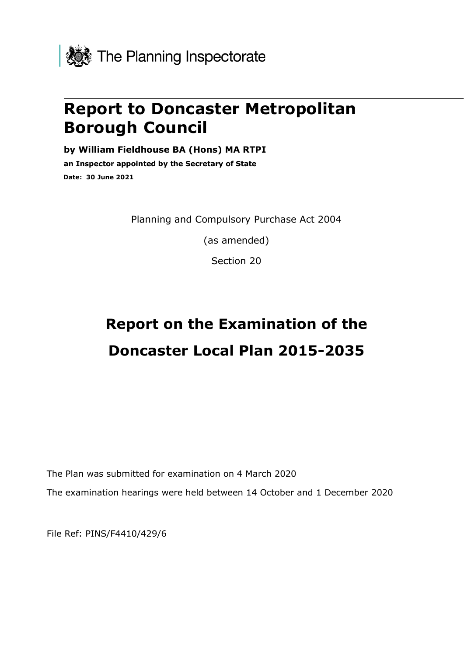

# **Report to Doncaster Metropolitan Borough Council**

**by William Fieldhouse BA (Hons) MA RTPI**

**an Inspector appointed by the Secretary of State Date: 30 June 2021**

Planning and Compulsory Purchase Act 2004

(as amended)

Section 20

# **Report on the Examination of the Doncaster Local Plan 2015-2035**

The Plan was submitted for examination on 4 March 2020 The examination hearings were held between 14 October and 1 December 2020

File Ref: PINS/F4410/429/6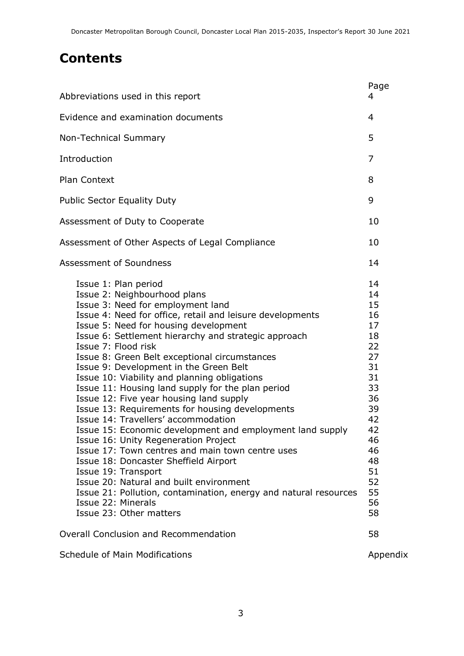# **Contents**

| Abbreviations used in this report                                                                                                                                                                                                                                                                                                                                                                                                                                                                                                                                                                                                                                                                                                                                                                                                                                                                                                                                                 | Page<br>4                                                                                                                        |
|-----------------------------------------------------------------------------------------------------------------------------------------------------------------------------------------------------------------------------------------------------------------------------------------------------------------------------------------------------------------------------------------------------------------------------------------------------------------------------------------------------------------------------------------------------------------------------------------------------------------------------------------------------------------------------------------------------------------------------------------------------------------------------------------------------------------------------------------------------------------------------------------------------------------------------------------------------------------------------------|----------------------------------------------------------------------------------------------------------------------------------|
| Evidence and examination documents                                                                                                                                                                                                                                                                                                                                                                                                                                                                                                                                                                                                                                                                                                                                                                                                                                                                                                                                                |                                                                                                                                  |
| Non-Technical Summary                                                                                                                                                                                                                                                                                                                                                                                                                                                                                                                                                                                                                                                                                                                                                                                                                                                                                                                                                             |                                                                                                                                  |
| Introduction                                                                                                                                                                                                                                                                                                                                                                                                                                                                                                                                                                                                                                                                                                                                                                                                                                                                                                                                                                      | 7                                                                                                                                |
| <b>Plan Context</b>                                                                                                                                                                                                                                                                                                                                                                                                                                                                                                                                                                                                                                                                                                                                                                                                                                                                                                                                                               |                                                                                                                                  |
| <b>Public Sector Equality Duty</b>                                                                                                                                                                                                                                                                                                                                                                                                                                                                                                                                                                                                                                                                                                                                                                                                                                                                                                                                                | 9                                                                                                                                |
| Assessment of Duty to Cooperate                                                                                                                                                                                                                                                                                                                                                                                                                                                                                                                                                                                                                                                                                                                                                                                                                                                                                                                                                   | 10                                                                                                                               |
| Assessment of Other Aspects of Legal Compliance                                                                                                                                                                                                                                                                                                                                                                                                                                                                                                                                                                                                                                                                                                                                                                                                                                                                                                                                   | 10                                                                                                                               |
| Assessment of Soundness                                                                                                                                                                                                                                                                                                                                                                                                                                                                                                                                                                                                                                                                                                                                                                                                                                                                                                                                                           | 14                                                                                                                               |
| Issue 1: Plan period<br>Issue 2: Neighbourhood plans<br>Issue 3: Need for employment land<br>Issue 4: Need for office, retail and leisure developments<br>Issue 5: Need for housing development<br>Issue 6: Settlement hierarchy and strategic approach<br>Issue 7: Flood risk<br>Issue 8: Green Belt exceptional circumstances<br>Issue 9: Development in the Green Belt<br>Issue 10: Viability and planning obligations<br>Issue 11: Housing land supply for the plan period<br>Issue 12: Five year housing land supply<br>Issue 13: Requirements for housing developments<br>Issue 14: Travellers' accommodation<br>Issue 15: Economic development and employment land supply<br>Issue 16: Unity Regeneration Project<br>Issue 17: Town centres and main town centre uses<br>Issue 18: Doncaster Sheffield Airport<br>Issue 19: Transport<br>Issue 20: Natural and built environment<br>Issue 21: Pollution, contamination, energy and natural resources<br>Issue 22: Minerals | 14<br>14<br>15<br>16<br>17<br>18<br>22<br>27<br>31<br>31<br>33<br>36<br>39<br>42<br>42<br>46<br>46<br>48<br>51<br>52<br>55<br>56 |
| Issue 23: Other matters<br>Overall Conclusion and Recommendation                                                                                                                                                                                                                                                                                                                                                                                                                                                                                                                                                                                                                                                                                                                                                                                                                                                                                                                  | 58<br>58                                                                                                                         |
| Schedule of Main Modifications                                                                                                                                                                                                                                                                                                                                                                                                                                                                                                                                                                                                                                                                                                                                                                                                                                                                                                                                                    | Appendix                                                                                                                         |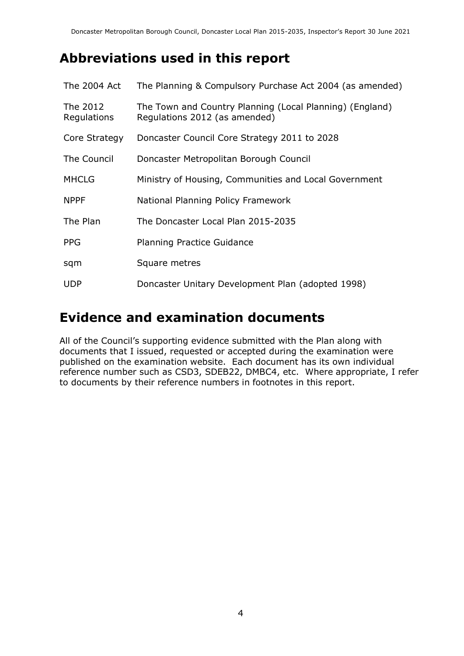# **Abbreviations used in this report**

| The 2004 Act            | The Planning & Compulsory Purchase Act 2004 (as amended)                                  |
|-------------------------|-------------------------------------------------------------------------------------------|
| The 2012<br>Regulations | The Town and Country Planning (Local Planning) (England)<br>Regulations 2012 (as amended) |
| Core Strategy           | Doncaster Council Core Strategy 2011 to 2028                                              |
| The Council             | Doncaster Metropolitan Borough Council                                                    |
| <b>MHCLG</b>            | Ministry of Housing, Communities and Local Government                                     |
| <b>NPPF</b>             | National Planning Policy Framework                                                        |
| The Plan                | The Doncaster Local Plan 2015-2035                                                        |
| <b>PPG</b>              | <b>Planning Practice Guidance</b>                                                         |
| sqm                     | Square metres                                                                             |
| <b>UDP</b>              | Doncaster Unitary Development Plan (adopted 1998)                                         |

### **Evidence and examination documents**

All of the Council's supporting evidence submitted with the Plan along with documents that I issued, requested or accepted during the examination were published on the examination website. Each document has its own individual reference number such as CSD3, SDEB22, DMBC4, etc. Where appropriate, I refer to documents by their reference numbers in footnotes in this report.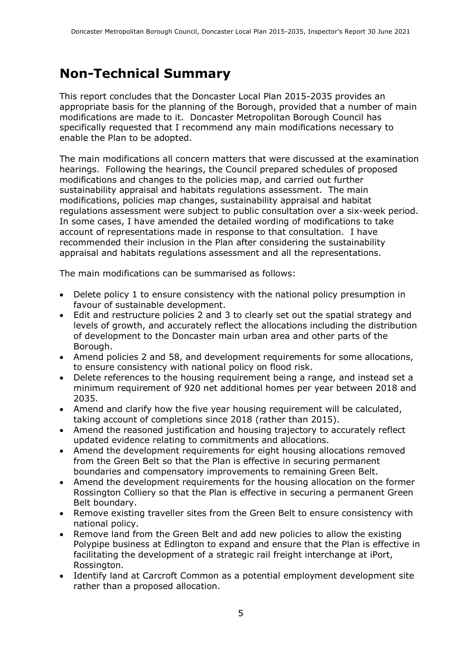# **Non-Technical Summary**

This report concludes that the Doncaster Local Plan 2015-2035 provides an appropriate basis for the planning of the Borough, provided that a number of main modifications are made to it. Doncaster Metropolitan Borough Council has specifically requested that I recommend any main modifications necessary to enable the Plan to be adopted.

The main modifications all concern matters that were discussed at the examination hearings. Following the hearings, the Council prepared schedules of proposed modifications and changes to the policies map, and carried out further sustainability appraisal and habitats regulations assessment. The main modifications, policies map changes, sustainability appraisal and habitat regulations assessment were subject to public consultation over a six-week period. In some cases, I have amended the detailed wording of modifications to take account of representations made in response to that consultation. I have recommended their inclusion in the Plan after considering the sustainability appraisal and habitats regulations assessment and all the representations.

The main modifications can be summarised as follows:

- Delete policy 1 to ensure consistency with the national policy presumption in favour of sustainable development.
- Edit and restructure policies 2 and 3 to clearly set out the spatial strategy and levels of growth, and accurately reflect the allocations including the distribution of development to the Doncaster main urban area and other parts of the Borough.
- Amend policies 2 and 58, and development requirements for some allocations, to ensure consistency with national policy on flood risk.
- Delete references to the housing requirement being a range, and instead set a minimum requirement of 920 net additional homes per year between 2018 and 2035.
- Amend and clarify how the five year housing requirement will be calculated, taking account of completions since 2018 (rather than 2015).
- Amend the reasoned justification and housing trajectory to accurately reflect updated evidence relating to commitments and allocations.
- Amend the development requirements for eight housing allocations removed from the Green Belt so that the Plan is effective in securing permanent boundaries and compensatory improvements to remaining Green Belt.
- Amend the development requirements for the housing allocation on the former Rossington Colliery so that the Plan is effective in securing a permanent Green Belt boundary.
- Remove existing traveller sites from the Green Belt to ensure consistency with national policy.
- Remove land from the Green Belt and add new policies to allow the existing Polypipe business at Edlington to expand and ensure that the Plan is effective in facilitating the development of a strategic rail freight interchange at iPort, Rossington.
- Identify land at Carcroft Common as a potential employment development site rather than a proposed allocation.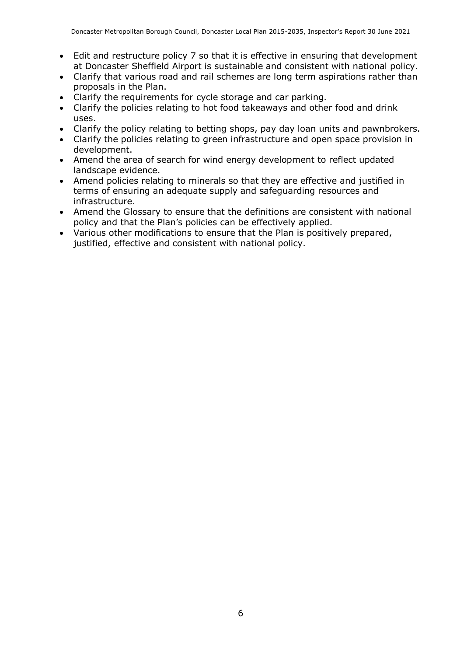- Edit and restructure policy 7 so that it is effective in ensuring that development at Doncaster Sheffield Airport is sustainable and consistent with national policy.
- Clarify that various road and rail schemes are long term aspirations rather than proposals in the Plan.
- Clarify the requirements for cycle storage and car parking.
- Clarify the policies relating to hot food takeaways and other food and drink uses.
- Clarify the policy relating to betting shops, pay day loan units and pawnbrokers.
- Clarify the policies relating to green infrastructure and open space provision in development.
- Amend the area of search for wind energy development to reflect updated landscape evidence.
- Amend policies relating to minerals so that they are effective and justified in terms of ensuring an adequate supply and safeguarding resources and infrastructure.
- Amend the Glossary to ensure that the definitions are consistent with national policy and that the Plan's policies can be effectively applied.
- Various other modifications to ensure that the Plan is positively prepared, justified, effective and consistent with national policy.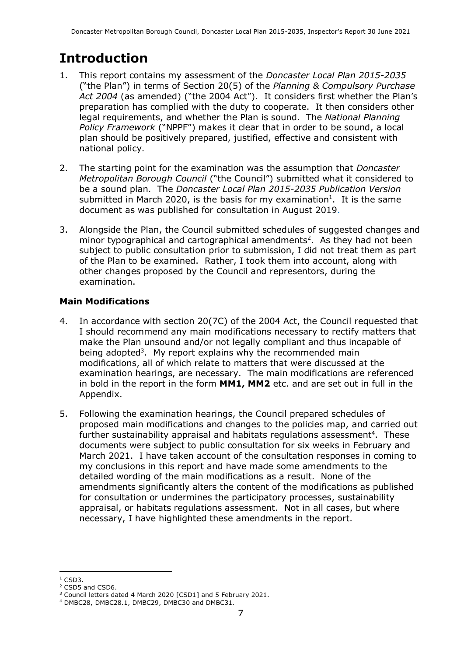# **Introduction**

- 1. This report contains my assessment of the *Doncaster Local Plan 2015-2035* ("the Plan") in terms of Section 20(5) of the *Planning & Compulsory Purchase Act 2004* (as amended) ("the 2004 Act"). It considers first whether the Plan's preparation has complied with the duty to cooperate. It then considers other legal requirements, and whether the Plan is sound. The *National Planning Policy Framework* ("NPPF") makes it clear that in order to be sound, a local plan should be positively prepared, justified, effective and consistent with national policy.
- 2. The starting point for the examination was the assumption that *Doncaster Metropolitan Borough Council* ("the Council") submitted what it considered to be a sound plan. The *Doncaster Local Plan 2015-2035 Publication Version* submitted in March 2020, is the basis for my examination<sup>1</sup>. It is the same document as was published for consultation in August 2019.
- 3. Alongside the Plan, the Council submitted schedules of suggested changes and minor typographical and cartographical amendments<sup>2</sup>. As they had not been subject to public consultation prior to submission, I did not treat them as part of the Plan to be examined. Rather, I took them into account, along with other changes proposed by the Council and representors, during the examination.

#### **Main Modifications**

- 4. In accordance with section 20(7C) of the 2004 Act, the Council requested that I should recommend any main modifications necessary to rectify matters that make the Plan unsound and/or not legally compliant and thus incapable of being adopted<sup>3</sup>. My report explains why the recommended main modifications, all of which relate to matters that were discussed at the examination hearings, are necessary. The main modifications are referenced in bold in the report in the form **MM1, MM2** etc. and are set out in full in the Appendix.
- 5. Following the examination hearings, the Council prepared schedules of proposed main modifications and changes to the policies map, and carried out further sustainability appraisal and habitats regulations assessment<sup>4</sup>. These documents were subject to public consultation for six weeks in February and March 2021. I have taken account of the consultation responses in coming to my conclusions in this report and have made some amendments to the detailed wording of the main modifications as a result. None of the amendments significantly alters the content of the modifications as published for consultation or undermines the participatory processes, sustainability appraisal, or habitats regulations assessment. Not in all cases, but where necessary, I have highlighted these amendments in the report.

 $1$  CSD3.

<sup>2</sup> CSD5 and CSD6.

<sup>&</sup>lt;sup>3</sup> Council letters dated 4 March 2020 [CSD1] and 5 February 2021.

<sup>4</sup> DMBC28, DMBC28.1, DMBC29, DMBC30 and DMBC31.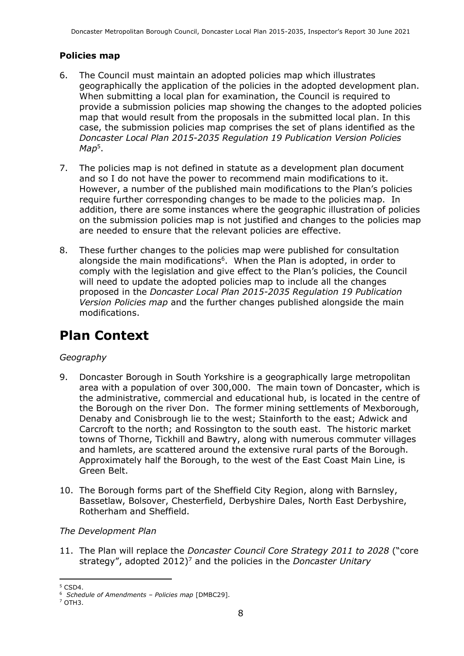#### **Policies map**

- 6. The Council must maintain an adopted policies map which illustrates geographically the application of the policies in the adopted development plan. When submitting a local plan for examination, the Council is required to provide a submission policies map showing the changes to the adopted policies map that would result from the proposals in the submitted local plan. In this case, the submission policies map comprises the set of plans identified as the *Doncaster Local Plan 2015-2035 Regulation 19 Publication Version Policies Map*<sup>5</sup> .
- 7. The policies map is not defined in statute as a development plan document and so I do not have the power to recommend main modifications to it. However, a number of the published main modifications to the Plan's policies require further corresponding changes to be made to the policies map. In addition, there are some instances where the geographic illustration of policies on the submission policies map is not justified and changes to the policies map are needed to ensure that the relevant policies are effective.
- 8. These further changes to the policies map were published for consultation alongside the main modifications<sup>6</sup>. When the Plan is adopted, in order to comply with the legislation and give effect to the Plan's policies, the Council will need to update the adopted policies map to include all the changes proposed in the *Doncaster Local Plan 2015-2035 Regulation 19 Publication Version Policies map* and the further changes published alongside the main modifications.

# **Plan Context**

#### *Geography*

- 9. Doncaster Borough in South Yorkshire is a geographically large metropolitan area with a population of over 300,000. The main town of Doncaster, which is the administrative, commercial and educational hub, is located in the centre of the Borough on the river Don. The former mining settlements of Mexborough, Denaby and Conisbrough lie to the west; Stainforth to the east; Adwick and Carcroft to the north; and Rossington to the south east. The historic market towns of Thorne, Tickhill and Bawtry, along with numerous commuter villages and hamlets, are scattered around the extensive rural parts of the Borough. Approximately half the Borough, to the west of the East Coast Main Line, is Green Belt.
- 10. The Borough forms part of the Sheffield City Region, along with Barnsley, Bassetlaw, Bolsover, Chesterfield, Derbyshire Dales, North East Derbyshire, Rotherham and Sheffield.

#### *The Development Plan*

11. The Plan will replace the *Doncaster Council Core Strategy 2011 to 2028* ("core strategy", adopted 2012) <sup>7</sup> and the policies in the *Doncaster Unitary* 

 $5$  CSD4.

<sup>6</sup> *Schedule of Amendments – Policies map* [DMBC29].

<sup>7</sup> OTH3.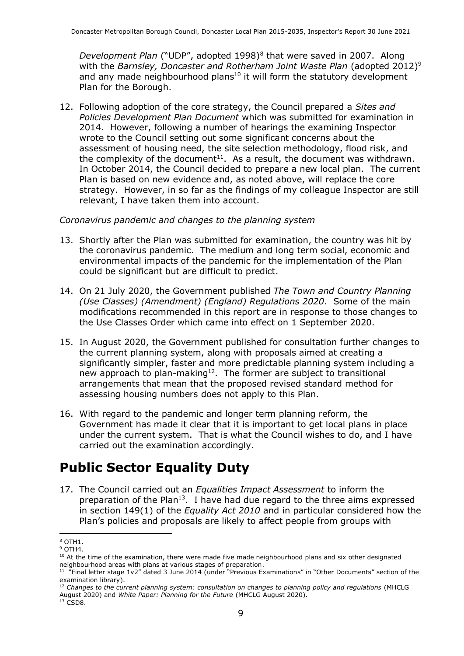Development Plan ("UDP", adopted 1998)<sup>8</sup> that were saved in 2007. Along with the *Barnsley, Doncaster and Rotherham Joint Waste Plan* (adopted 2012)<sup>9</sup> and any made neighbourhood plans<sup>10</sup> it will form the statutory development Plan for the Borough.

12. Following adoption of the core strategy, the Council prepared a *Sites and Policies Development Plan Document* which was submitted for examination in 2014. However, following a number of hearings the examining Inspector wrote to the Council setting out some significant concerns about the assessment of housing need, the site selection methodology, flood risk, and the complexity of the document<sup>11</sup>. As a result, the document was withdrawn. In October 2014, the Council decided to prepare a new local plan. The current Plan is based on new evidence and, as noted above, will replace the core strategy. However, in so far as the findings of my colleague Inspector are still relevant, I have taken them into account.

#### *Coronavirus pandemic and changes to the planning system*

- 13. Shortly after the Plan was submitted for examination, the country was hit by the coronavirus pandemic. The medium and long term social, economic and environmental impacts of the pandemic for the implementation of the Plan could be significant but are difficult to predict.
- 14. On 21 July 2020, the Government published *The Town and Country Planning (Use Classes) (Amendment) (England) Regulations 2020*. Some of the main modifications recommended in this report are in response to those changes to the Use Classes Order which came into effect on 1 September 2020.
- 15. In August 2020, the Government published for consultation further changes to the current planning system, along with proposals aimed at creating a significantly simpler, faster and more predictable planning system including a new approach to plan-making<sup>12</sup>. The former are subject to transitional arrangements that mean that the proposed revised standard method for assessing housing numbers does not apply to this Plan.
- 16. With regard to the pandemic and longer term planning reform, the Government has made it clear that it is important to get local plans in place under the current system. That is what the Council wishes to do, and I have carried out the examination accordingly.

## **Public Sector Equality Duty**

17. The Council carried out an *Equalities Impact Assessment* to inform the preparation of the Plan<sup>13</sup>. I have had due regard to the three aims expressed in section 149(1) of the *Equality Act 2010* and in particular considered how the Plan's policies and proposals are likely to affect people from groups with

<sup>8</sup> OTH1.

<sup>9</sup> OTH4.

<sup>&</sup>lt;sup>10</sup> At the time of the examination, there were made five made neighbourhood plans and six other designated neighbourhood areas with plans at various stages of preparation.

<sup>&</sup>lt;sup>11</sup> "Final letter stage 1v2" dated 3 June 2014 (under "Previous Examinations" in "Other Documents" section of the examination library).

<sup>12</sup> *Changes to the current planning system: consultation on changes to planning policy and regulations* (MHCLG August 2020) and *White Paper: Planning for the Future* (MHCLG August 2020).

<sup>&</sup>lt;sup>13</sup> CSD8.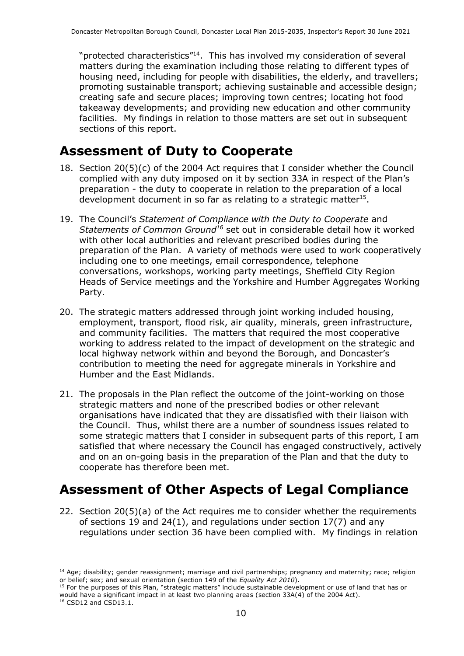"protected characteristics"<sup>14</sup>. This has involved my consideration of several matters during the examination including those relating to different types of housing need, including for people with disabilities, the elderly, and travellers; promoting sustainable transport; achieving sustainable and accessible design; creating safe and secure places; improving town centres; locating hot food takeaway developments; and providing new education and other community facilities. My findings in relation to those matters are set out in subsequent sections of this report.

### **Assessment of Duty to Cooperate**

- 18. Section 20(5)(c) of the 2004 Act requires that I consider whether the Council complied with any duty imposed on it by section 33A in respect of the Plan's preparation - the duty to cooperate in relation to the preparation of a local development document in so far as relating to a strategic matter<sup>15</sup>.
- 19. The Council's *Statement of Compliance with the Duty to Cooperate* and *Statements of Common Ground<sup>16</sup>* set out in considerable detail how it worked with other local authorities and relevant prescribed bodies during the preparation of the Plan. A variety of methods were used to work cooperatively including one to one meetings, email correspondence, telephone conversations, workshops, working party meetings, Sheffield City Region Heads of Service meetings and the Yorkshire and Humber Aggregates Working Party.
- 20. The strategic matters addressed through joint working included housing, employment, transport, flood risk, air quality, minerals, green infrastructure, and community facilities. The matters that required the most cooperative working to address related to the impact of development on the strategic and local highway network within and beyond the Borough, and Doncaster's contribution to meeting the need for aggregate minerals in Yorkshire and Humber and the East Midlands.
- 21. The proposals in the Plan reflect the outcome of the joint-working on those strategic matters and none of the prescribed bodies or other relevant organisations have indicated that they are dissatisfied with their liaison with the Council. Thus, whilst there are a number of soundness issues related to some strategic matters that I consider in subsequent parts of this report, I am satisfied that where necessary the Council has engaged constructively, actively and on an on-going basis in the preparation of the Plan and that the duty to cooperate has therefore been met.

## **Assessment of Other Aspects of Legal Compliance**

22. Section 20(5)(a) of the Act requires me to consider whether the requirements of sections 19 and 24(1), and regulations under section 17(7) and any regulations under section 36 have been complied with. My findings in relation

<sup>&</sup>lt;sup>14</sup> Age; disability; gender reassignment; marriage and civil partnerships; pregnancy and maternity; race; religion or belief; sex; and sexual orientation (section 149 of the *Equality Act 2010*).

<sup>&</sup>lt;sup>15</sup> For the purposes of this Plan, "strategic matters" include sustainable development or use of land that has or would have a significant impact in at least two planning areas (section 33A(4) of the 2004 Act).

<sup>16</sup> CSD12 and CSD13.1.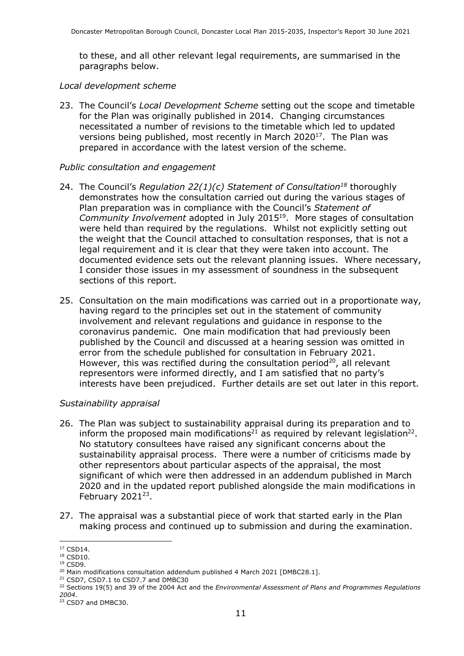to these, and all other relevant legal requirements, are summarised in the paragraphs below.

*Local development scheme*

23. The Council's *Local Development Scheme* setting out the scope and timetable for the Plan was originally published in 2014. Changing circumstances necessitated a number of revisions to the timetable which led to updated versions being published, most recently in March  $2020^{17}$ . The Plan was prepared in accordance with the latest version of the scheme.

#### *Public consultation and engagement*

- 24. The Council's *Regulation 22(1)(c) Statement of Consultation<sup>18</sup>* thoroughly demonstrates how the consultation carried out during the various stages of Plan preparation was in compliance with the Council's *Statement of*  Community Involvement adopted in July 2015<sup>19</sup>. More stages of consultation were held than required by the regulations. Whilst not explicitly setting out the weight that the Council attached to consultation responses, that is not a legal requirement and it is clear that they were taken into account. The documented evidence sets out the relevant planning issues. Where necessary, I consider those issues in my assessment of soundness in the subsequent sections of this report.
- 25. Consultation on the main modifications was carried out in a proportionate way, having regard to the principles set out in the statement of community involvement and relevant regulations and guidance in response to the coronavirus pandemic. One main modification that had previously been published by the Council and discussed at a hearing session was omitted in error from the schedule published for consultation in February 2021. However, this was rectified during the consultation period<sup>20</sup>, all relevant representors were informed directly, and I am satisfied that no party's interests have been prejudiced. Further details are set out later in this report.

#### *Sustainability appraisal*

- 26. The Plan was subject to sustainability appraisal during its preparation and to inform the proposed main modifications<sup>21</sup> as required by relevant legislation<sup>22</sup>. No statutory consultees have raised any significant concerns about the sustainability appraisal process. There were a number of criticisms made by other representors about particular aspects of the appraisal, the most significant of which were then addressed in an addendum published in March 2020 and in the updated report published alongside the main modifications in February  $2021^{23}$ .
- 27. The appraisal was a substantial piece of work that started early in the Plan making process and continued up to submission and during the examination.

<sup>21</sup> CSD7, CSD7.1 to CSD7.7 and DMBC30

<sup>&</sup>lt;sup>17</sup> CSD14.

<sup>&</sup>lt;sup>18</sup> CSD10. <sup>19</sup> CSD9.

<sup>&</sup>lt;sup>20</sup> Main modifications consultation addendum published 4 March 2021 [DMBC28.1].

<sup>&</sup>lt;sup>22</sup> Sections 19(5) and 39 of the 2004 Act and the *Environmental Assessment of Plans and Programmes Regulations 2004*.

<sup>&</sup>lt;sup>23</sup> CSD7 and DMBC30.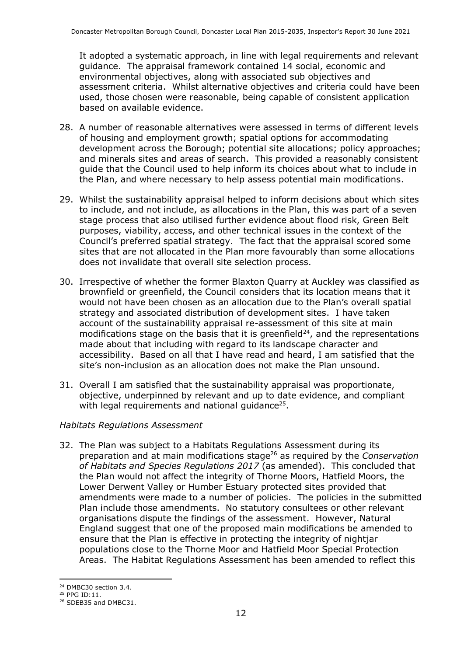It adopted a systematic approach, in line with legal requirements and relevant guidance. The appraisal framework contained 14 social, economic and environmental objectives, along with associated sub objectives and assessment criteria. Whilst alternative objectives and criteria could have been used, those chosen were reasonable, being capable of consistent application based on available evidence.

- 28. A number of reasonable alternatives were assessed in terms of different levels of housing and employment growth; spatial options for accommodating development across the Borough; potential site allocations; policy approaches; and minerals sites and areas of search. This provided a reasonably consistent guide that the Council used to help inform its choices about what to include in the Plan, and where necessary to help assess potential main modifications.
- 29. Whilst the sustainability appraisal helped to inform decisions about which sites to include, and not include, as allocations in the Plan, this was part of a seven stage process that also utilised further evidence about flood risk, Green Belt purposes, viability, access, and other technical issues in the context of the Council's preferred spatial strategy. The fact that the appraisal scored some sites that are not allocated in the Plan more favourably than some allocations does not invalidate that overall site selection process.
- 30. Irrespective of whether the former Blaxton Quarry at Auckley was classified as brownfield or greenfield, the Council considers that its location means that it would not have been chosen as an allocation due to the Plan's overall spatial strategy and associated distribution of development sites. I have taken account of the sustainability appraisal re-assessment of this site at main modifications stage on the basis that it is greenfield $^{24}$ , and the representations made about that including with regard to its landscape character and accessibility. Based on all that I have read and heard, I am satisfied that the site's non-inclusion as an allocation does not make the Plan unsound.
- 31. Overall I am satisfied that the sustainability appraisal was proportionate, objective, underpinned by relevant and up to date evidence, and compliant with legal requirements and national guidance $25$ .

#### *Habitats Regulations Assessment*

32. The Plan was subject to a Habitats Regulations Assessment during its preparation and at main modifications stage<sup>26</sup> as required by the *Conservation of Habitats and Species Regulations 2017* (as amended). This concluded that the Plan would not affect the integrity of Thorne Moors, Hatfield Moors, the Lower Derwent Valley or Humber Estuary protected sites provided that amendments were made to a number of policies. The policies in the submitted Plan include those amendments. No statutory consultees or other relevant organisations dispute the findings of the assessment. However, Natural England suggest that one of the proposed main modifications be amended to ensure that the Plan is effective in protecting the integrity of nightjar populations close to the Thorne Moor and Hatfield Moor Special Protection Areas. The Habitat Regulations Assessment has been amended to reflect this

<sup>24</sup> DMBC30 section 3.4.

<sup>25</sup> PPG ID:11.

<sup>&</sup>lt;sup>26</sup> SDEB35 and DMBC31.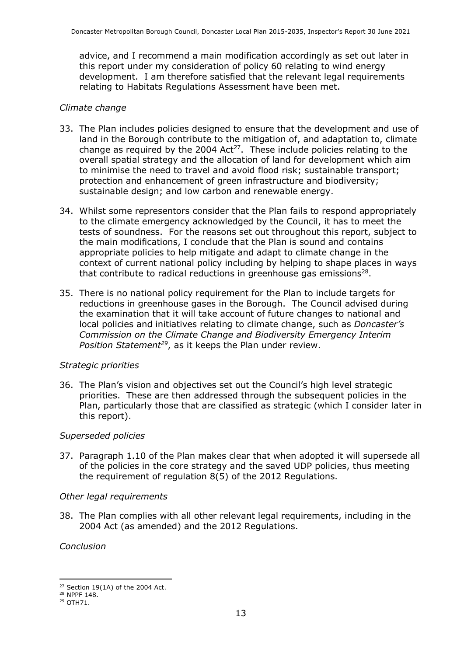advice, and I recommend a main modification accordingly as set out later in this report under my consideration of policy 60 relating to wind energy development. I am therefore satisfied that the relevant legal requirements relating to Habitats Regulations Assessment have been met.

#### *Climate change*

- 33. The Plan includes policies designed to ensure that the development and use of land in the Borough contribute to the mitigation of, and adaptation to, climate change as required by the 2004 Act<sup>27</sup>. These include policies relating to the overall spatial strategy and the allocation of land for development which aim to minimise the need to travel and avoid flood risk; sustainable transport; protection and enhancement of green infrastructure and biodiversity; sustainable design; and low carbon and renewable energy.
- 34. Whilst some representors consider that the Plan fails to respond appropriately to the climate emergency acknowledged by the Council, it has to meet the tests of soundness. For the reasons set out throughout this report, subject to the main modifications, I conclude that the Plan is sound and contains appropriate policies to help mitigate and adapt to climate change in the context of current national policy including by helping to shape places in ways that contribute to radical reductions in greenhouse gas emissions<sup>28</sup>.
- 35. There is no national policy requirement for the Plan to include targets for reductions in greenhouse gases in the Borough. The Council advised during the examination that it will take account of future changes to national and local policies and initiatives relating to climate change, such as *Doncaster's Commission on the Climate Change and Biodiversity Emergency Interim Position Statement<sup>29</sup>* , as it keeps the Plan under review.

#### *Strategic priorities*

36. The Plan's vision and objectives set out the Council's high level strategic priorities. These are then addressed through the subsequent policies in the Plan, particularly those that are classified as strategic (which I consider later in this report).

#### *Superseded policies*

37. Paragraph 1.10 of the Plan makes clear that when adopted it will supersede all of the policies in the core strategy and the saved UDP policies, thus meeting the requirement of regulation 8(5) of the 2012 Regulations.

#### *Other legal requirements*

38. The Plan complies with all other relevant legal requirements, including in the 2004 Act (as amended) and the 2012 Regulations.

*Conclusion* 

 $27$  Section 19(1A) of the 2004 Act.

<sup>&</sup>lt;sup>28</sup> NPPF 148.

<sup>&</sup>lt;sup>29</sup> OTH71.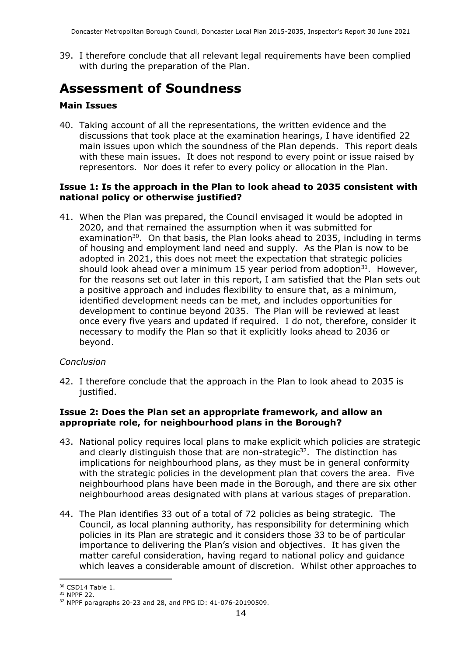39. I therefore conclude that all relevant legal requirements have been complied with during the preparation of the Plan.

## **Assessment of Soundness**

#### **Main Issues**

40. Taking account of all the representations, the written evidence and the discussions that took place at the examination hearings, I have identified 22 main issues upon which the soundness of the Plan depends. This report deals with these main issues. It does not respond to every point or issue raised by representors. Nor does it refer to every policy or allocation in the Plan.

#### **Issue 1: Is the approach in the Plan to look ahead to 2035 consistent with national policy or otherwise justified?**

41. When the Plan was prepared, the Council envisaged it would be adopted in 2020, and that remained the assumption when it was submitted for examination<sup>30</sup>. On that basis, the Plan looks ahead to 2035, including in terms of housing and employment land need and supply. As the Plan is now to be adopted in 2021, this does not meet the expectation that strategic policies should look ahead over a minimum 15 year period from adoption $31$ . However, for the reasons set out later in this report, I am satisfied that the Plan sets out a positive approach and includes flexibility to ensure that, as a minimum, identified development needs can be met, and includes opportunities for development to continue beyond 2035. The Plan will be reviewed at least once every five years and updated if required. I do not, therefore, consider it necessary to modify the Plan so that it explicitly looks ahead to 2036 or beyond.

#### *Conclusion*

42. I therefore conclude that the approach in the Plan to look ahead to 2035 is justified.

#### **Issue 2: Does the Plan set an appropriate framework, and allow an appropriate role, for neighbourhood plans in the Borough?**

- 43. National policy requires local plans to make explicit which policies are strategic and clearly distinguish those that are non-strategic<sup>32</sup>. The distinction has implications for neighbourhood plans, as they must be in general conformity with the strategic policies in the development plan that covers the area. Five neighbourhood plans have been made in the Borough, and there are six other neighbourhood areas designated with plans at various stages of preparation.
- 44. The Plan identifies 33 out of a total of 72 policies as being strategic. The Council, as local planning authority, has responsibility for determining which policies in its Plan are strategic and it considers those 33 to be of particular importance to delivering the Plan's vision and objectives. It has given the matter careful consideration, having regard to national policy and guidance which leaves a considerable amount of discretion. Whilst other approaches to

<sup>30</sup> CSD14 Table 1.

<sup>31</sup> NPPF 22.

<sup>32</sup> NPPF paragraphs 20-23 and 28, and PPG ID: 41-076-20190509.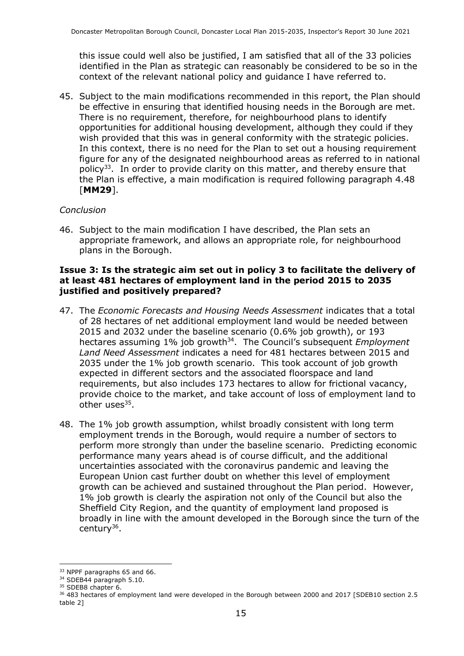this issue could well also be justified, I am satisfied that all of the 33 policies identified in the Plan as strategic can reasonably be considered to be so in the context of the relevant national policy and guidance I have referred to.

45. Subject to the main modifications recommended in this report, the Plan should be effective in ensuring that identified housing needs in the Borough are met. There is no requirement, therefore, for neighbourhood plans to identify opportunities for additional housing development, although they could if they wish provided that this was in general conformity with the strategic policies. In this context, there is no need for the Plan to set out a housing requirement figure for any of the designated neighbourhood areas as referred to in national policy<sup>33</sup>. In order to provide clarity on this matter, and thereby ensure that the Plan is effective, a main modification is required following paragraph 4.48 [**MM29**].

#### *Conclusion*

46. Subject to the main modification I have described, the Plan sets an appropriate framework, and allows an appropriate role, for neighbourhood plans in the Borough.

#### **Issue 3: Is the strategic aim set out in policy 3 to facilitate the delivery of at least 481 hectares of employment land in the period 2015 to 2035 justified and positively prepared?**

- 47. The *Economic Forecasts and Housing Needs Assessment* indicates that a total of 28 hectares of net additional employment land would be needed between 2015 and 2032 under the baseline scenario (0.6% job growth), or 193 hectares assuming 1% job growth<sup>34</sup>. The Council's subsequent *Employment Land Need Assessment* indicates a need for 481 hectares between 2015 and 2035 under the 1% job growth scenario. This took account of job growth expected in different sectors and the associated floorspace and land requirements, but also includes 173 hectares to allow for frictional vacancy, provide choice to the market, and take account of loss of employment land to other uses<sup>35</sup>.
- 48. The 1% job growth assumption, whilst broadly consistent with long term employment trends in the Borough, would require a number of sectors to perform more strongly than under the baseline scenario. Predicting economic performance many years ahead is of course difficult, and the additional uncertainties associated with the coronavirus pandemic and leaving the European Union cast further doubt on whether this level of employment growth can be achieved and sustained throughout the Plan period. However, 1% job growth is clearly the aspiration not only of the Council but also the Sheffield City Region, and the quantity of employment land proposed is broadly in line with the amount developed in the Borough since the turn of the century<sup>36</sup>.

<sup>&</sup>lt;sup>33</sup> NPPF paragraphs 65 and 66.

<sup>&</sup>lt;sup>34</sup> SDEB44 paragraph 5.10.

<sup>&</sup>lt;sup>35</sup> SDEB8 chapter 6.

<sup>&</sup>lt;sup>36</sup> 483 hectares of employment land were developed in the Borough between 2000 and 2017 [SDEB10 section 2.5] table 2]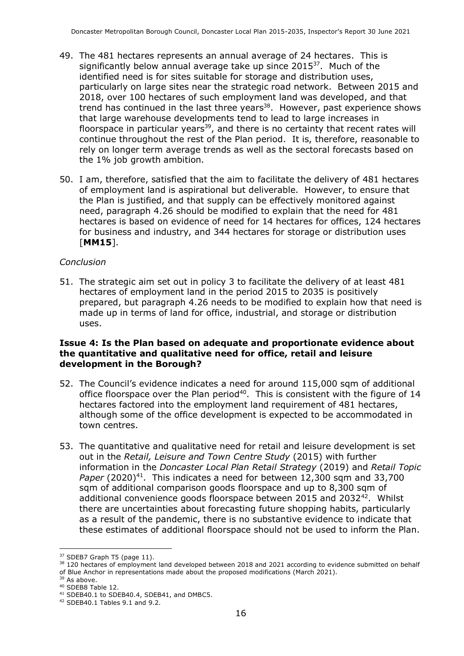- 49. The 481 hectares represents an annual average of 24 hectares. This is significantly below annual average take up since  $2015^{37}$ . Much of the identified need is for sites suitable for storage and distribution uses, particularly on large sites near the strategic road network. Between 2015 and 2018, over 100 hectares of such employment land was developed, and that trend has continued in the last three years<sup>38</sup>. However, past experience shows that large warehouse developments tend to lead to large increases in floorspace in particular years<sup>39</sup>, and there is no certainty that recent rates will continue throughout the rest of the Plan period. It is, therefore, reasonable to rely on longer term average trends as well as the sectoral forecasts based on the 1% job growth ambition.
- 50. I am, therefore, satisfied that the aim to facilitate the delivery of 481 hectares of employment land is aspirational but deliverable. However, to ensure that the Plan is justified, and that supply can be effectively monitored against need, paragraph 4.26 should be modified to explain that the need for 481 hectares is based on evidence of need for 14 hectares for offices, 124 hectares for business and industry, and 344 hectares for storage or distribution uses [**MM15**].

#### *Conclusion*

51. The strategic aim set out in policy 3 to facilitate the delivery of at least 481 hectares of employment land in the period 2015 to 2035 is positively prepared, but paragraph 4.26 needs to be modified to explain how that need is made up in terms of land for office, industrial, and storage or distribution uses.

#### **Issue 4: Is the Plan based on adequate and proportionate evidence about the quantitative and qualitative need for office, retail and leisure development in the Borough?**

- 52. The Council's evidence indicates a need for around 115,000 sqm of additional office floorspace over the Plan period<sup>40</sup>. This is consistent with the figure of  $14$ hectares factored into the employment land requirement of 481 hectares, although some of the office development is expected to be accommodated in town centres.
- 53. The quantitative and qualitative need for retail and leisure development is set out in the *Retail, Leisure and Town Centre Study* (2015) with further information in the *Doncaster Local Plan Retail Strategy* (2019) and *Retail Topic Paper* (2020)<sup>41</sup>. This indicates a need for between 12,300 sqm and 33,700 sqm of additional comparison goods floorspace and up to 8,300 sqm of additional convenience goods floorspace between 2015 and 2032<sup>42</sup>. Whilst there are uncertainties about forecasting future shopping habits, particularly as a result of the pandemic, there is no substantive evidence to indicate that these estimates of additional floorspace should not be used to inform the Plan.

 $37$  SDEB7 Graph T5 (page 11).

<sup>&</sup>lt;sup>38</sup> 120 hectares of employment land developed between 2018 and 2021 according to evidence submitted on behalf of Blue Anchor in representations made about the proposed modifications (March 2021).

<sup>&</sup>lt;sup>39</sup> As above.

<sup>40</sup> SDEB8 Table 12.

<sup>&</sup>lt;sup>41</sup> SDEB40.1 to SDEB40.4, SDEB41, and DMBC5.

<sup>42</sup> SDEB40.1 Tables 9.1 and 9.2.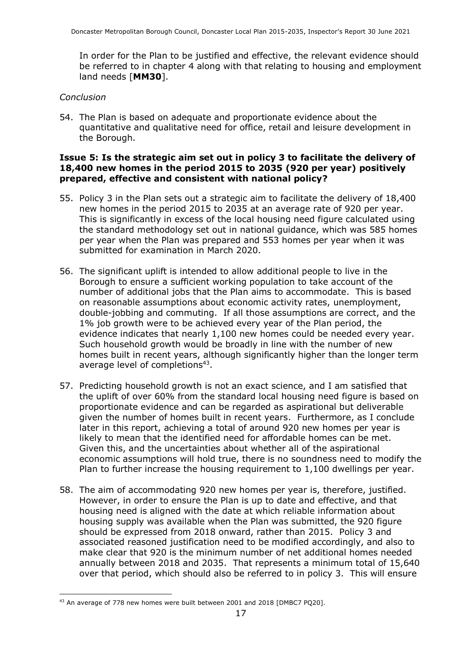In order for the Plan to be justified and effective, the relevant evidence should be referred to in chapter 4 along with that relating to housing and employment land needs [**MM30**].

#### *Conclusion*

54. The Plan is based on adequate and proportionate evidence about the quantitative and qualitative need for office, retail and leisure development in the Borough.

#### **Issue 5: Is the strategic aim set out in policy 3 to facilitate the delivery of 18,400 new homes in the period 2015 to 2035 (920 per year) positively prepared, effective and consistent with national policy?**

- 55. Policy 3 in the Plan sets out a strategic aim to facilitate the delivery of 18,400 new homes in the period 2015 to 2035 at an average rate of 920 per year. This is significantly in excess of the local housing need figure calculated using the standard methodology set out in national guidance, which was 585 homes per year when the Plan was prepared and 553 homes per year when it was submitted for examination in March 2020.
- 56. The significant uplift is intended to allow additional people to live in the Borough to ensure a sufficient working population to take account of the number of additional jobs that the Plan aims to accommodate. This is based on reasonable assumptions about economic activity rates, unemployment, double-jobbing and commuting. If all those assumptions are correct, and the 1% job growth were to be achieved every year of the Plan period, the evidence indicates that nearly 1,100 new homes could be needed every year. Such household growth would be broadly in line with the number of new homes built in recent years, although significantly higher than the longer term average level of completions<sup>43</sup>.
- 57. Predicting household growth is not an exact science, and I am satisfied that the uplift of over 60% from the standard local housing need figure is based on proportionate evidence and can be regarded as aspirational but deliverable given the number of homes built in recent years. Furthermore, as I conclude later in this report, achieving a total of around 920 new homes per year is likely to mean that the identified need for affordable homes can be met. Given this, and the uncertainties about whether all of the aspirational economic assumptions will hold true, there is no soundness need to modify the Plan to further increase the housing requirement to 1,100 dwellings per year.
- 58. The aim of accommodating 920 new homes per year is, therefore, justified. However, in order to ensure the Plan is up to date and effective, and that housing need is aligned with the date at which reliable information about housing supply was available when the Plan was submitted, the 920 figure should be expressed from 2018 onward, rather than 2015. Policy 3 and associated reasoned justification need to be modified accordingly, and also to make clear that 920 is the minimum number of net additional homes needed annually between 2018 and 2035. That represents a minimum total of 15,640 over that period, which should also be referred to in policy 3. This will ensure

<sup>&</sup>lt;sup>43</sup> An average of 778 new homes were built between 2001 and 2018 [DMBC7 PQ20].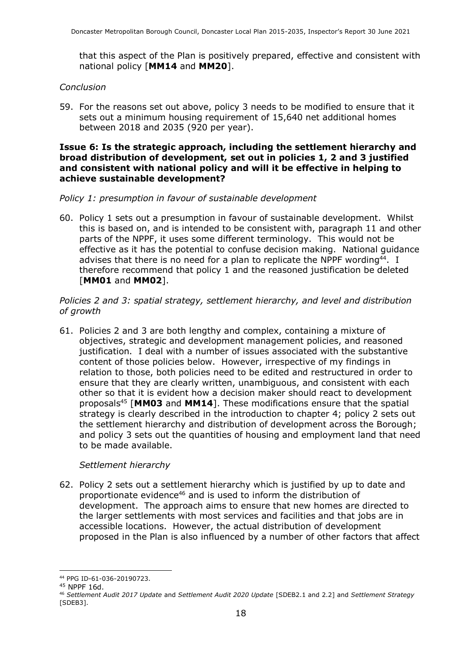that this aspect of the Plan is positively prepared, effective and consistent with national policy [**MM14** and **MM20**].

#### *Conclusion*

59. For the reasons set out above, policy 3 needs to be modified to ensure that it sets out a minimum housing requirement of 15,640 net additional homes between 2018 and 2035 (920 per year).

#### **Issue 6: Is the strategic approach, including the settlement hierarchy and broad distribution of development, set out in policies 1, 2 and 3 justified and consistent with national policy and will it be effective in helping to achieve sustainable development?**

#### *Policy 1: presumption in favour of sustainable development*

60. Policy 1 sets out a presumption in favour of sustainable development. Whilst this is based on, and is intended to be consistent with, paragraph 11 and other parts of the NPPF, it uses some different terminology. This would not be effective as it has the potential to confuse decision making. National guidance advises that there is no need for a plan to replicate the NPPF wording<sup>44</sup>. I therefore recommend that policy 1 and the reasoned justification be deleted [**MM01** and **MM02**].

#### *Policies 2 and 3: spatial strategy, settlement hierarchy, and level and distribution of growth*

61. Policies 2 and 3 are both lengthy and complex, containing a mixture of objectives, strategic and development management policies, and reasoned justification. I deal with a number of issues associated with the substantive content of those policies below. However, irrespective of my findings in relation to those, both policies need to be edited and restructured in order to ensure that they are clearly written, unambiguous, and consistent with each other so that it is evident how a decision maker should react to development proposals<sup>45</sup> [**MM03** and **MM14**]. These modifications ensure that the spatial strategy is clearly described in the introduction to chapter 4; policy 2 sets out the settlement hierarchy and distribution of development across the Borough; and policy 3 sets out the quantities of housing and employment land that need to be made available.

#### *Settlement hierarchy*

62. Policy 2 sets out a settlement hierarchy which is justified by up to date and proportionate evidence<sup>46</sup> and is used to inform the distribution of development. The approach aims to ensure that new homes are directed to the larger settlements with most services and facilities and that jobs are in accessible locations. However, the actual distribution of development proposed in the Plan is also influenced by a number of other factors that affect

<sup>44</sup> PPG ID-61-036-20190723.

<sup>45</sup> NPPF 16d.

<sup>46</sup> *Settlement Audit 2017 Update* and *Settlement Audit 2020 Update* [SDEB2.1 and 2.2] and *Settlement Strategy* [SDEB3].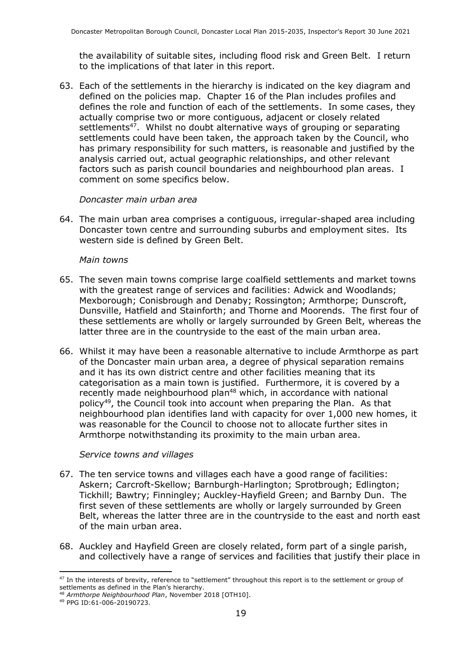the availability of suitable sites, including flood risk and Green Belt. I return to the implications of that later in this report.

63. Each of the settlements in the hierarchy is indicated on the key diagram and defined on the policies map. Chapter 16 of the Plan includes profiles and defines the role and function of each of the settlements. In some cases, they actually comprise two or more contiguous, adjacent or closely related settlements<sup>47</sup>. Whilst no doubt alternative ways of grouping or separating settlements could have been taken, the approach taken by the Council, who has primary responsibility for such matters, is reasonable and justified by the analysis carried out, actual geographic relationships, and other relevant factors such as parish council boundaries and neighbourhood plan areas. I comment on some specifics below.

#### *Doncaster main urban area*

64. The main urban area comprises a contiguous, irregular-shaped area including Doncaster town centre and surrounding suburbs and employment sites. Its western side is defined by Green Belt.

#### *Main towns*

- 65. The seven main towns comprise large coalfield settlements and market towns with the greatest range of services and facilities: Adwick and Woodlands; Mexborough; Conisbrough and Denaby; Rossington; Armthorpe; Dunscroft, Dunsville, Hatfield and Stainforth; and Thorne and Moorends. The first four of these settlements are wholly or largely surrounded by Green Belt, whereas the latter three are in the countryside to the east of the main urban area.
- 66. Whilst it may have been a reasonable alternative to include Armthorpe as part of the Doncaster main urban area, a degree of physical separation remains and it has its own district centre and other facilities meaning that its categorisation as a main town is justified. Furthermore, it is covered by a recently made neighbourhood plan <sup>48</sup> which, in accordance with national policy<sup>49</sup>, the Council took into account when preparing the Plan. As that neighbourhood plan identifies land with capacity for over 1,000 new homes, it was reasonable for the Council to choose not to allocate further sites in Armthorpe notwithstanding its proximity to the main urban area.

#### *Service towns and villages*

- 67. The ten service towns and villages each have a good range of facilities: Askern; Carcroft-Skellow; Barnburgh-Harlington; Sprotbrough; Edlington; Tickhill; Bawtry; Finningley; Auckley-Hayfield Green; and Barnby Dun. The first seven of these settlements are wholly or largely surrounded by Green Belt, whereas the latter three are in the countryside to the east and north east of the main urban area.
- 68. Auckley and Hayfield Green are closely related, form part of a single parish, and collectively have a range of services and facilities that justify their place in

<sup>&</sup>lt;sup>47</sup> In the interests of brevity, reference to "settlement" throughout this report is to the settlement or group of settlements as defined in the Plan's hierarchy.

<sup>48</sup> *Armthorpe Neighbourhood Plan*, November 2018 [OTH10].

<sup>49</sup> PPG ID:61-006-20190723.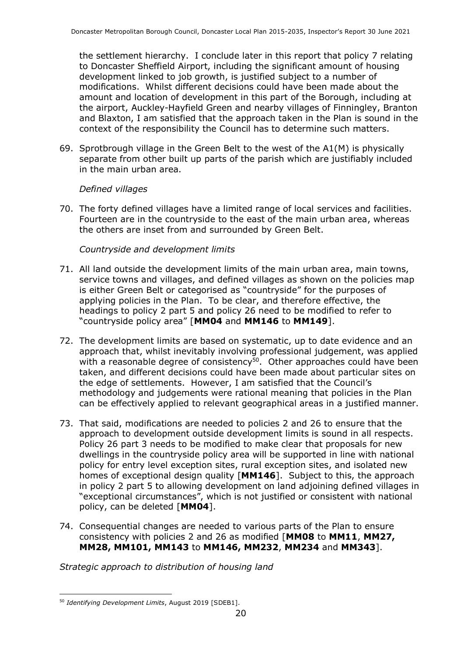the settlement hierarchy. I conclude later in this report that policy 7 relating to Doncaster Sheffield Airport, including the significant amount of housing development linked to job growth, is justified subject to a number of modifications. Whilst different decisions could have been made about the amount and location of development in this part of the Borough, including at the airport, Auckley-Hayfield Green and nearby villages of Finningley, Branton and Blaxton, I am satisfied that the approach taken in the Plan is sound in the context of the responsibility the Council has to determine such matters.

69. Sprotbrough village in the Green Belt to the west of the A1(M) is physically separate from other built up parts of the parish which are justifiably included in the main urban area.

#### *Defined villages*

70. The forty defined villages have a limited range of local services and facilities. Fourteen are in the countryside to the east of the main urban area, whereas the others are inset from and surrounded by Green Belt.

#### *Countryside and development limits*

- 71. All land outside the development limits of the main urban area, main towns, service towns and villages, and defined villages as shown on the policies map is either Green Belt or categorised as "countryside" for the purposes of applying policies in the Plan. To be clear, and therefore effective, the headings to policy 2 part 5 and policy 26 need to be modified to refer to "countryside policy area" [**MM04** and **MM146** to **MM149**].
- 72. The development limits are based on systematic, up to date evidence and an approach that, whilst inevitably involving professional judgement, was applied with a reasonable degree of consistency<sup>50</sup>. Other approaches could have been taken, and different decisions could have been made about particular sites on the edge of settlements. However, I am satisfied that the Council's methodology and judgements were rational meaning that policies in the Plan can be effectively applied to relevant geographical areas in a justified manner.
- 73. That said, modifications are needed to policies 2 and 26 to ensure that the approach to development outside development limits is sound in all respects. Policy 26 part 3 needs to be modified to make clear that proposals for new dwellings in the countryside policy area will be supported in line with national policy for entry level exception sites, rural exception sites, and isolated new homes of exceptional design quality [**MM146**]. Subject to this, the approach in policy 2 part 5 to allowing development on land adjoining defined villages in "exceptional circumstances", which is not justified or consistent with national policy, can be deleted [**MM04**].
- 74. Consequential changes are needed to various parts of the Plan to ensure consistency with policies 2 and 26 as modified [**MM08** to **MM11**, **MM27, MM28, MM101, MM143** to **MM146, MM232**, **MM234** and **MM343**].

*Strategic approach to distribution of housing land*

<sup>50</sup> *Identifying Development Limits*, August 2019 [SDEB1].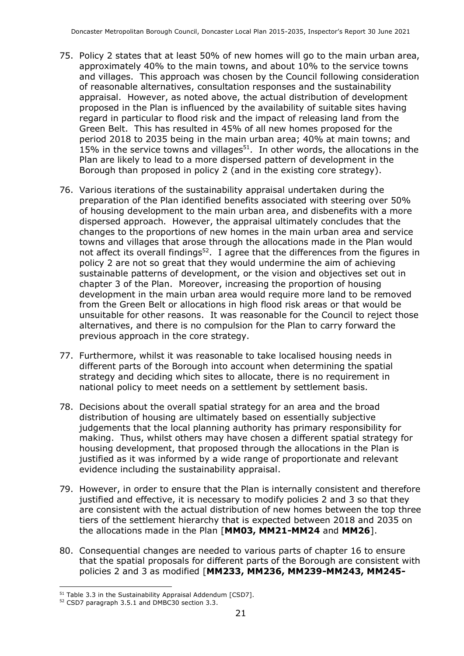- 75. Policy 2 states that at least 50% of new homes will go to the main urban area, approximately 40% to the main towns, and about 10% to the service towns and villages. This approach was chosen by the Council following consideration of reasonable alternatives, consultation responses and the sustainability appraisal. However, as noted above, the actual distribution of development proposed in the Plan is influenced by the availability of suitable sites having regard in particular to flood risk and the impact of releasing land from the Green Belt. This has resulted in 45% of all new homes proposed for the period 2018 to 2035 being in the main urban area; 40% at main towns; and 15% in the service towns and villages $51$ . In other words, the allocations in the Plan are likely to lead to a more dispersed pattern of development in the Borough than proposed in policy 2 (and in the existing core strategy).
- 76. Various iterations of the sustainability appraisal undertaken during the preparation of the Plan identified benefits associated with steering over 50% of housing development to the main urban area, and disbenefits with a more dispersed approach. However, the appraisal ultimately concludes that the changes to the proportions of new homes in the main urban area and service towns and villages that arose through the allocations made in the Plan would not affect its overall findings<sup>52</sup>. I agree that the differences from the figures in policy 2 are not so great that they would undermine the aim of achieving sustainable patterns of development, or the vision and objectives set out in chapter 3 of the Plan. Moreover, increasing the proportion of housing development in the main urban area would require more land to be removed from the Green Belt or allocations in high flood risk areas or that would be unsuitable for other reasons. It was reasonable for the Council to reject those alternatives, and there is no compulsion for the Plan to carry forward the previous approach in the core strategy.
- 77. Furthermore, whilst it was reasonable to take localised housing needs in different parts of the Borough into account when determining the spatial strategy and deciding which sites to allocate, there is no requirement in national policy to meet needs on a settlement by settlement basis.
- 78. Decisions about the overall spatial strategy for an area and the broad distribution of housing are ultimately based on essentially subjective judgements that the local planning authority has primary responsibility for making. Thus, whilst others may have chosen a different spatial strategy for housing development, that proposed through the allocations in the Plan is justified as it was informed by a wide range of proportionate and relevant evidence including the sustainability appraisal.
- 79. However, in order to ensure that the Plan is internally consistent and therefore justified and effective, it is necessary to modify policies 2 and 3 so that they are consistent with the actual distribution of new homes between the top three tiers of the settlement hierarchy that is expected between 2018 and 2035 on the allocations made in the Plan [**MM03, MM21-MM24** and **MM26**].
- 80. Consequential changes are needed to various parts of chapter 16 to ensure that the spatial proposals for different parts of the Borough are consistent with policies 2 and 3 as modified [**MM233, MM236, MM239-MM243, MM245-**

<sup>51</sup> Table 3.3 in the Sustainability Appraisal Addendum [CSD7].

<sup>52</sup> CSD7 paragraph 3.5.1 and DMBC30 section 3.3.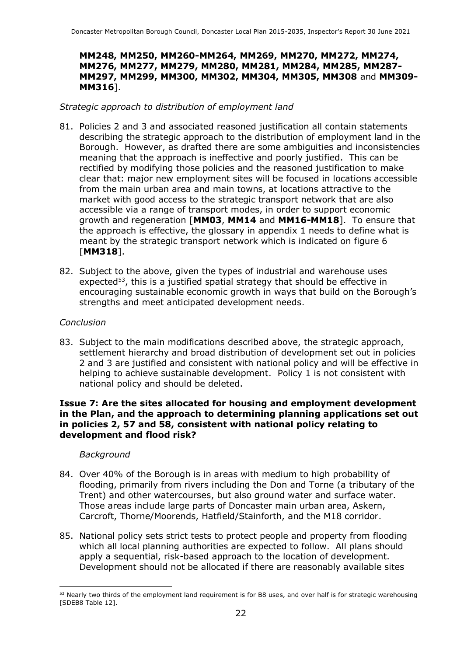#### **MM248, MM250, MM260-MM264, MM269, MM270, MM272, MM274, MM276, MM277, MM279, MM280, MM281, MM284, MM285, MM287- MM297, MM299, MM300, MM302, MM304, MM305, MM308** and **MM309- MM316**].

#### *Strategic approach to distribution of employment land*

- 81. Policies 2 and 3 and associated reasoned justification all contain statements describing the strategic approach to the distribution of employment land in the Borough. However, as drafted there are some ambiguities and inconsistencies meaning that the approach is ineffective and poorly justified. This can be rectified by modifying those policies and the reasoned justification to make clear that: major new employment sites will be focused in locations accessible from the main urban area and main towns, at locations attractive to the market with good access to the strategic transport network that are also accessible via a range of transport modes, in order to support economic growth and regeneration [**MM03**, **MM14** and **MM16-MM18**]. To ensure that the approach is effective, the glossary in appendix 1 needs to define what is meant by the strategic transport network which is indicated on figure 6 [**MM318**].
- 82. Subject to the above, given the types of industrial and warehouse uses expected<sup>53</sup>, this is a justified spatial strategy that should be effective in encouraging sustainable economic growth in ways that build on the Borough's strengths and meet anticipated development needs.

#### *Conclusion*

83. Subject to the main modifications described above, the strategic approach, settlement hierarchy and broad distribution of development set out in policies 2 and 3 are justified and consistent with national policy and will be effective in helping to achieve sustainable development. Policy 1 is not consistent with national policy and should be deleted.

#### **Issue 7: Are the sites allocated for housing and employment development in the Plan, and the approach to determining planning applications set out in policies 2, 57 and 58, consistent with national policy relating to development and flood risk?**

#### *Background*

- 84. Over 40% of the Borough is in areas with medium to high probability of flooding, primarily from rivers including the Don and Torne (a tributary of the Trent) and other watercourses, but also ground water and surface water. Those areas include large parts of Doncaster main urban area, Askern, Carcroft, Thorne/Moorends, Hatfield/Stainforth, and the M18 corridor.
- 85. National policy sets strict tests to protect people and property from flooding which all local planning authorities are expected to follow. All plans should apply a sequential, risk-based approach to the location of development. Development should not be allocated if there are reasonably available sites

<sup>&</sup>lt;sup>53</sup> Nearly two thirds of the employment land requirement is for B8 uses, and over half is for strategic warehousing [SDEB8 Table 12].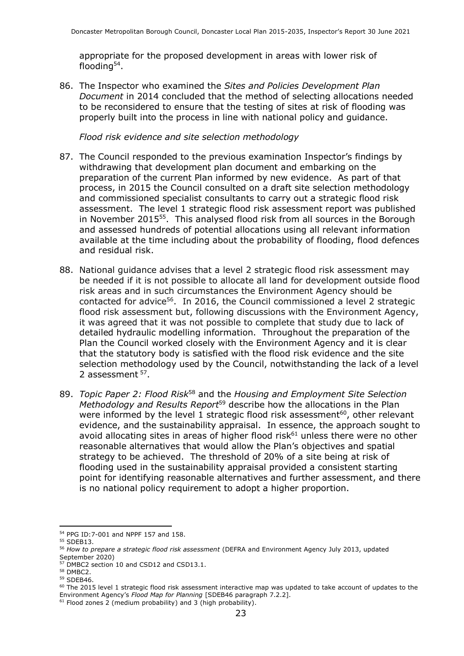appropriate for the proposed development in areas with lower risk of flooding<sup>54</sup>.

86. The Inspector who examined the *Sites and Policies Development Plan Document* in 2014 concluded that the method of selecting allocations needed to be reconsidered to ensure that the testing of sites at risk of flooding was properly built into the process in line with national policy and guidance.

*Flood risk evidence and site selection methodology*

- 87. The Council responded to the previous examination Inspector's findings by withdrawing that development plan document and embarking on the preparation of the current Plan informed by new evidence. As part of that process, in 2015 the Council consulted on a draft site selection methodology and commissioned specialist consultants to carry out a strategic flood risk assessment. The level 1 strategic flood risk assessment report was published in November 2015<sup>55</sup>. This analysed flood risk from all sources in the Borough and assessed hundreds of potential allocations using all relevant information available at the time including about the probability of flooding, flood defences and residual risk.
- 88. National guidance advises that a level 2 strategic flood risk assessment may be needed if it is not possible to allocate all land for development outside flood risk areas and in such circumstances the Environment Agency should be contacted for advice<sup>56</sup>. In 2016, the Council commissioned a level 2 strategic flood risk assessment but, following discussions with the Environment Agency, it was agreed that it was not possible to complete that study due to lack of detailed hydraulic modelling information. Throughout the preparation of the Plan the Council worked closely with the Environment Agency and it is clear that the statutory body is satisfied with the flood risk evidence and the site selection methodology used by the Council, notwithstanding the lack of a level 2 assessment <sup>57</sup>.
- 89. *Topic Paper 2: Flood Risk*<sup>58</sup> and the *Housing and Employment Site Selection Methodology and Results Report*<sup>59</sup> describe how the allocations in the Plan were informed by the level 1 strategic flood risk assessment $^{60}$ , other relevant evidence, and the sustainability appraisal. In essence, the approach sought to avoid allocating sites in areas of higher flood risk $61$  unless there were no other reasonable alternatives that would allow the Plan's objectives and spatial strategy to be achieved. The threshold of 20% of a site being at risk of flooding used in the sustainability appraisal provided a consistent starting point for identifying reasonable alternatives and further assessment, and there is no national policy requirement to adopt a higher proportion.

<sup>54</sup> PPG ID:7-001 and NPPF 157 and 158.

<sup>&</sup>lt;sup>55</sup> SDEB13.

<sup>56</sup> *How to prepare a strategic flood risk assessment* (DEFRA and Environment Agency July 2013, updated September 2020)

<sup>57</sup> DMBC2 section 10 and CSD12 and CSD13.1.

<sup>58</sup> DMBC2.

<sup>59</sup> SDEB46.

 $60$  The 2015 level 1 strategic flood risk assessment interactive map was updated to take account of updates to the Environment Agency's *Flood Map for Planning* [SDEB46 paragraph 7.2.2].

 $61$  Flood zones 2 (medium probability) and 3 (high probability).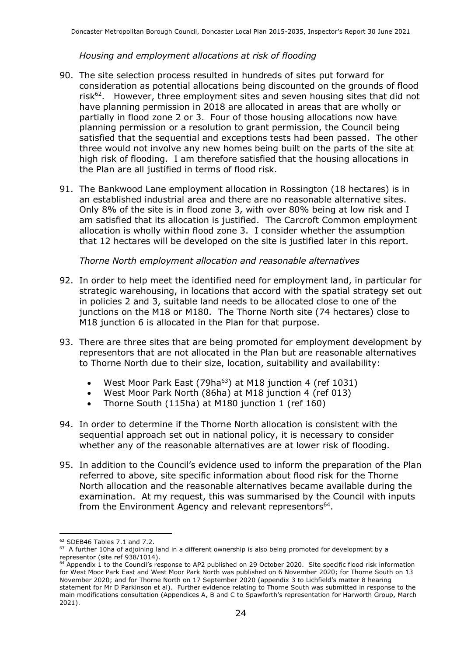#### *Housing and employment allocations at risk of flooding*

- 90. The site selection process resulted in hundreds of sites put forward for consideration as potential allocations being discounted on the grounds of flood risk<sup>62</sup>. However, three employment sites and seven housing sites that did not have planning permission in 2018 are allocated in areas that are wholly or partially in flood zone 2 or 3. Four of those housing allocations now have planning permission or a resolution to grant permission, the Council being satisfied that the sequential and exceptions tests had been passed. The other three would not involve any new homes being built on the parts of the site at high risk of flooding. I am therefore satisfied that the housing allocations in the Plan are all justified in terms of flood risk.
- 91. The Bankwood Lane employment allocation in Rossington (18 hectares) is in an established industrial area and there are no reasonable alternative sites. Only 8% of the site is in flood zone 3, with over 80% being at low risk and I am satisfied that its allocation is justified. The Carcroft Common employment allocation is wholly within flood zone 3. I consider whether the assumption that 12 hectares will be developed on the site is justified later in this report.

*Thorne North employment allocation and reasonable alternatives*

- 92. In order to help meet the identified need for employment land, in particular for strategic warehousing, in locations that accord with the spatial strategy set out in policies 2 and 3, suitable land needs to be allocated close to one of the junctions on the M18 or M180. The Thorne North site (74 hectares) close to M18 junction 6 is allocated in the Plan for that purpose.
- 93. There are three sites that are being promoted for employment development by representors that are not allocated in the Plan but are reasonable alternatives to Thorne North due to their size, location, suitability and availability:
	- West Moor Park East (79ha $^{63}$ ) at M18 junction 4 (ref 1031)
	- West Moor Park North (86ha) at M18 junction 4 (ref 013)
	- Thorne South (115ha) at M180 junction 1 (ref 160)
- 94. In order to determine if the Thorne North allocation is consistent with the sequential approach set out in national policy, it is necessary to consider whether any of the reasonable alternatives are at lower risk of flooding.
- 95. In addition to the Council's evidence used to inform the preparation of the Plan referred to above, site specific information about flood risk for the Thorne North allocation and the reasonable alternatives became available during the examination. At my request, this was summarised by the Council with inputs from the Environment Agency and relevant representors<sup>64</sup>.

<sup>62</sup> SDEB46 Tables 7.1 and 7.2.

 $63$  A further 10ha of adjoining land in a different ownership is also being promoted for development by a representor (site ref 938/1014).

 $64$  Appendix 1 to the Council's response to AP2 published on 29 October 2020. Site specific flood risk information for West Moor Park East and West Moor Park North was published on 6 November 2020; for Thorne South on 13 November 2020; and for Thorne North on 17 September 2020 (appendix 3 to Lichfield's matter 8 hearing statement for Mr D Parkinson et al). Further evidence relating to Thorne South was submitted in response to the main modifications consultation (Appendices A, B and C to Spawforth's representation for Harworth Group, March 2021).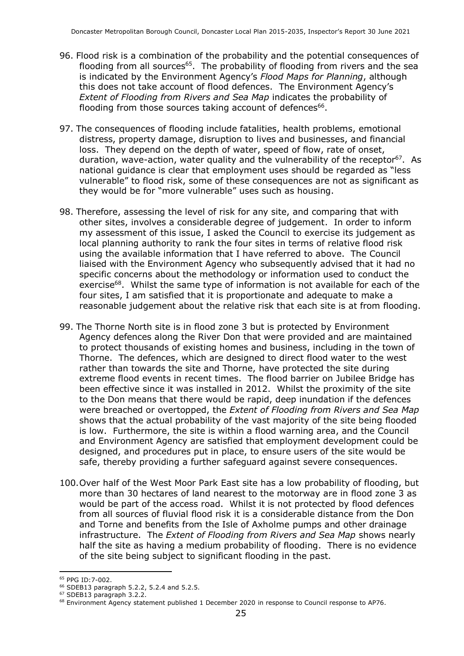- 96. Flood risk is a combination of the probability and the potential consequences of flooding from all sources<sup>65</sup>. The probability of flooding from rivers and the sea is indicated by the Environment Agency's *Flood Maps for Planning*, although this does not take account of flood defences. The Environment Agency's *Extent of Flooding from Rivers and Sea Map* indicates the probability of flooding from those sources taking account of defences<sup>66</sup>.
- 97. The consequences of flooding include fatalities, health problems, emotional distress, property damage, disruption to lives and businesses, and financial loss. They depend on the depth of water, speed of flow, rate of onset, duration, wave-action, water quality and the vulnerability of the receptor<sup>67</sup>. As national guidance is clear that employment uses should be regarded as "less vulnerable" to flood risk, some of these consequences are not as significant as they would be for "more vulnerable" uses such as housing.
- 98. Therefore, assessing the level of risk for any site, and comparing that with other sites, involves a considerable degree of judgement. In order to inform my assessment of this issue, I asked the Council to exercise its judgement as local planning authority to rank the four sites in terms of relative flood risk using the available information that I have referred to above. The Council liaised with the Environment Agency who subsequently advised that it had no specific concerns about the methodology or information used to conduct the exercise<sup>68</sup>. Whilst the same type of information is not available for each of the four sites, I am satisfied that it is proportionate and adequate to make a reasonable judgement about the relative risk that each site is at from flooding.
- 99. The Thorne North site is in flood zone 3 but is protected by Environment Agency defences along the River Don that were provided and are maintained to protect thousands of existing homes and business, including in the town of Thorne. The defences, which are designed to direct flood water to the west rather than towards the site and Thorne, have protected the site during extreme flood events in recent times. The flood barrier on Jubilee Bridge has been effective since it was installed in 2012. Whilst the proximity of the site to the Don means that there would be rapid, deep inundation if the defences were breached or overtopped, the *Extent of Flooding from Rivers and Sea Map* shows that the actual probability of the vast majority of the site being flooded is low. Furthermore, the site is within a flood warning area, and the Council and Environment Agency are satisfied that employment development could be designed, and procedures put in place, to ensure users of the site would be safe, thereby providing a further safeguard against severe consequences.
- 100.Over half of the West Moor Park East site has a low probability of flooding, but more than 30 hectares of land nearest to the motorway are in flood zone 3 as would be part of the access road. Whilst it is not protected by flood defences from all sources of fluvial flood risk it is a considerable distance from the Don and Torne and benefits from the Isle of Axholme pumps and other drainage infrastructure. The *Extent of Flooding from Rivers and Sea Map* shows nearly half the site as having a medium probability of flooding. There is no evidence of the site being subject to significant flooding in the past.

<sup>65</sup> PPG ID:7-002.

<sup>66</sup> SDEB13 paragraph 5.2.2, 5.2.4 and 5.2.5. <sup>67</sup> SDEB13 paragraph 3.2.2.

<sup>68</sup> Environment Agency statement published 1 December 2020 in response to Council response to AP76.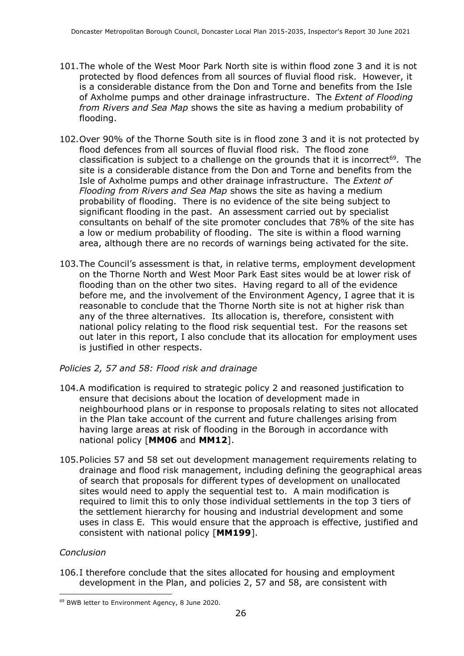- 101.The whole of the West Moor Park North site is within flood zone 3 and it is not protected by flood defences from all sources of fluvial flood risk. However, it is a considerable distance from the Don and Torne and benefits from the Isle of Axholme pumps and other drainage infrastructure. The *Extent of Flooding from Rivers and Sea Map* shows the site as having a medium probability of flooding.
- 102.Over 90% of the Thorne South site is in flood zone 3 and it is not protected by flood defences from all sources of fluvial flood risk. The flood zone classification is subject to a challenge on the grounds that it is incorrect<sup>69</sup>. The site is a considerable distance from the Don and Torne and benefits from the Isle of Axholme pumps and other drainage infrastructure. The *Extent of Flooding from Rivers and Sea Map* shows the site as having a medium probability of flooding. There is no evidence of the site being subject to significant flooding in the past. An assessment carried out by specialist consultants on behalf of the site promoter concludes that 78% of the site has a low or medium probability of flooding. The site is within a flood warning area, although there are no records of warnings being activated for the site.
- 103.The Council's assessment is that, in relative terms, employment development on the Thorne North and West Moor Park East sites would be at lower risk of flooding than on the other two sites. Having regard to all of the evidence before me, and the involvement of the Environment Agency, I agree that it is reasonable to conclude that the Thorne North site is not at higher risk than any of the three alternatives. Its allocation is, therefore, consistent with national policy relating to the flood risk sequential test. For the reasons set out later in this report, I also conclude that its allocation for employment uses is justified in other respects.

#### *Policies 2, 57 and 58: Flood risk and drainage*

- 104.A modification is required to strategic policy 2 and reasoned justification to ensure that decisions about the location of development made in neighbourhood plans or in response to proposals relating to sites not allocated in the Plan take account of the current and future challenges arising from having large areas at risk of flooding in the Borough in accordance with national policy [**MM06** and **MM12**].
- 105.Policies 57 and 58 set out development management requirements relating to drainage and flood risk management, including defining the geographical areas of search that proposals for different types of development on unallocated sites would need to apply the sequential test to. A main modification is required to limit this to only those individual settlements in the top 3 tiers of the settlement hierarchy for housing and industrial development and some uses in class E. This would ensure that the approach is effective, justified and consistent with national policy [**MM199**].

#### *Conclusion*

106.I therefore conclude that the sites allocated for housing and employment development in the Plan, and policies 2, 57 and 58, are consistent with

<sup>69</sup> BWB letter to Environment Agency, 8 June 2020.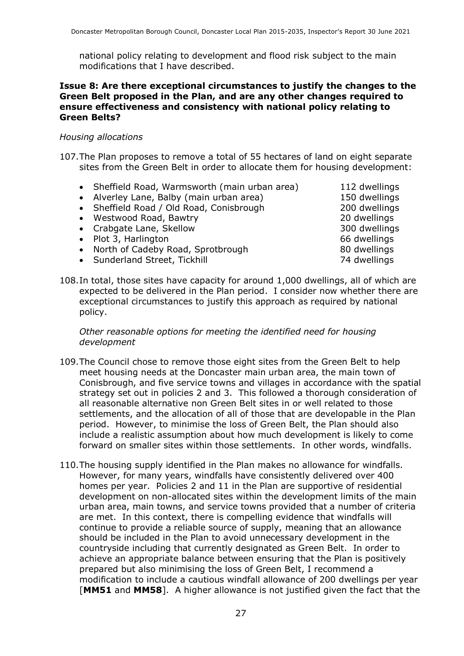national policy relating to development and flood risk subject to the main modifications that I have described.

#### **Issue 8: Are there exceptional circumstances to justify the changes to the Green Belt proposed in the Plan, and are any other changes required to ensure effectiveness and consistency with national policy relating to Green Belts?**

#### *Housing allocations*

- 107.The Plan proposes to remove a total of 55 hectares of land on eight separate sites from the Green Belt in order to allocate them for housing development:
	- Sheffield Road, Warmsworth (main urban area) 112 dwellings
	- Alverley Lane, Balby (main urban area) 150 dwellings
	- Sheffield Road / Old Road, Conisbrough 200 dwellings
	- Westwood Road, Bawtry 20 dwellings
	- Crabgate Lane, Skellow 300 dwellings
	- Plot 3, Harlington 66 dwellings
	- North of Cadeby Road, Sprotbrough 80 dwellings
	- Sunderland Street, Tickhill 74 dwellings

108.In total, those sites have capacity for around 1,000 dwellings, all of which are expected to be delivered in the Plan period. I consider now whether there are exceptional circumstances to justify this approach as required by national policy.

*Other reasonable options for meeting the identified need for housing development*

- 109.The Council chose to remove those eight sites from the Green Belt to help meet housing needs at the Doncaster main urban area, the main town of Conisbrough, and five service towns and villages in accordance with the spatial strategy set out in policies 2 and 3. This followed a thorough consideration of all reasonable alternative non Green Belt sites in or well related to those settlements, and the allocation of all of those that are developable in the Plan period. However, to minimise the loss of Green Belt, the Plan should also include a realistic assumption about how much development is likely to come forward on smaller sites within those settlements. In other words, windfalls.
- 110.The housing supply identified in the Plan makes no allowance for windfalls. However, for many years, windfalls have consistently delivered over 400 homes per year. Policies 2 and 11 in the Plan are supportive of residential development on non-allocated sites within the development limits of the main urban area, main towns, and service towns provided that a number of criteria are met. In this context, there is compelling evidence that windfalls will continue to provide a reliable source of supply, meaning that an allowance should be included in the Plan to avoid unnecessary development in the countryside including that currently designated as Green Belt. In order to achieve an appropriate balance between ensuring that the Plan is positively prepared but also minimising the loss of Green Belt, I recommend a modification to include a cautious windfall allowance of 200 dwellings per year [**MM51** and **MM58**]. A higher allowance is not justified given the fact that the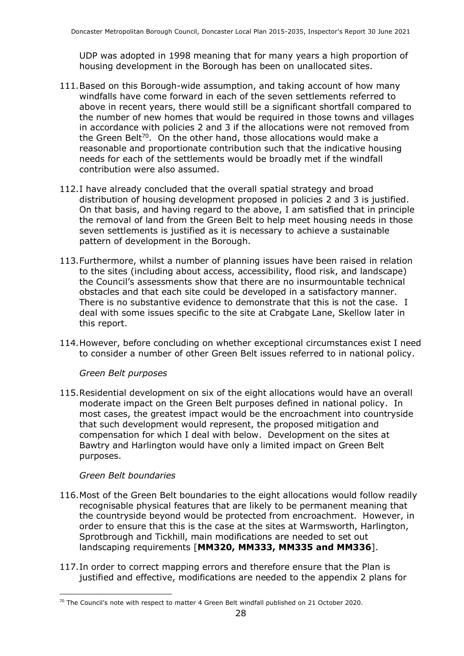UDP was adopted in 1998 meaning that for many years a high proportion of housing development in the Borough has been on unallocated sites.

- 111.Based on this Borough-wide assumption, and taking account of how many windfalls have come forward in each of the seven settlements referred to above in recent years, there would still be a significant shortfall compared to the number of new homes that would be required in those towns and villages in accordance with policies 2 and 3 if the allocations were not removed from the Green Belt<sup>70</sup>. On the other hand, those allocations would make a reasonable and proportionate contribution such that the indicative housing needs for each of the settlements would be broadly met if the windfall contribution were also assumed.
- 112.I have already concluded that the overall spatial strategy and broad distribution of housing development proposed in policies 2 and 3 is justified. On that basis, and having regard to the above, I am satisfied that in principle the removal of land from the Green Belt to help meet housing needs in those seven settlements is justified as it is necessary to achieve a sustainable pattern of development in the Borough.
- 113.Furthermore, whilst a number of planning issues have been raised in relation to the sites (including about access, accessibility, flood risk, and landscape) the Council's assessments show that there are no insurmountable technical obstacles and that each site could be developed in a satisfactory manner. There is no substantive evidence to demonstrate that this is not the case. I deal with some issues specific to the site at Crabgate Lane, Skellow later in this report.
- 114.However, before concluding on whether exceptional circumstances exist I need to consider a number of other Green Belt issues referred to in national policy.

#### *Green Belt purposes*

115.Residential development on six of the eight allocations would have an overall moderate impact on the Green Belt purposes defined in national policy. In most cases, the greatest impact would be the encroachment into countryside that such development would represent, the proposed mitigation and compensation for which I deal with below. Development on the sites at Bawtry and Harlington would have only a limited impact on Green Belt purposes.

#### *Green Belt boundaries*

- 116.Most of the Green Belt boundaries to the eight allocations would follow readily recognisable physical features that are likely to be permanent meaning that the countryside beyond would be protected from encroachment. However, in order to ensure that this is the case at the sites at Warmsworth, Harlington, Sprotbrough and Tickhill, main modifications are needed to set out landscaping requirements [**MM320, MM333, MM335 and MM336**].
- 117.In order to correct mapping errors and therefore ensure that the Plan is justified and effective, modifications are needed to the appendix 2 plans for

<sup>&</sup>lt;sup>70</sup> The Council's note with respect to matter 4 Green Belt windfall published on 21 October 2020.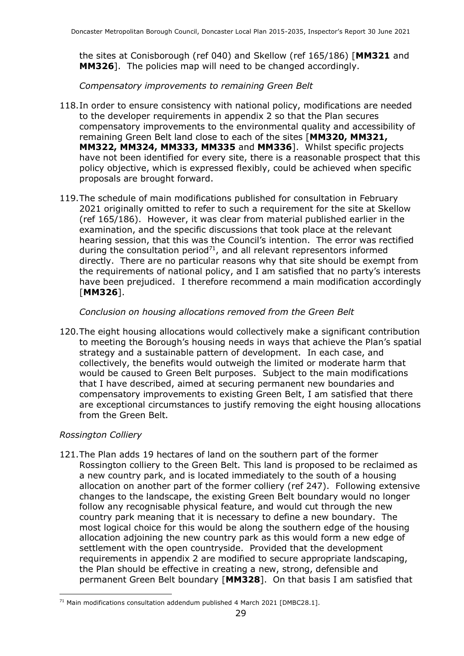the sites at Conisborough (ref 040) and Skellow (ref 165/186) [**MM321** and **MM326**]. The policies map will need to be changed accordingly.

*Compensatory improvements to remaining Green Belt*

- 118.In order to ensure consistency with national policy, modifications are needed to the developer requirements in appendix 2 so that the Plan secures compensatory improvements to the environmental quality and accessibility of remaining Green Belt land close to each of the sites [**MM320, MM321, MM322, MM324, MM333, MM335** and **MM336**]. Whilst specific projects have not been identified for every site, there is a reasonable prospect that this policy objective, which is expressed flexibly, could be achieved when specific proposals are brought forward.
- 119.The schedule of main modifications published for consultation in February 2021 originally omitted to refer to such a requirement for the site at Skellow (ref 165/186). However, it was clear from material published earlier in the examination, and the specific discussions that took place at the relevant hearing session, that this was the Council's intention. The error was rectified during the consultation period $71$ , and all relevant representors informed directly. There are no particular reasons why that site should be exempt from the requirements of national policy, and I am satisfied that no party's interests have been prejudiced. I therefore recommend a main modification accordingly [**MM326**].

#### *Conclusion on housing allocations removed from the Green Belt*

120.The eight housing allocations would collectively make a significant contribution to meeting the Borough's housing needs in ways that achieve the Plan's spatial strategy and a sustainable pattern of development. In each case, and collectively, the benefits would outweigh the limited or moderate harm that would be caused to Green Belt purposes. Subject to the main modifications that I have described, aimed at securing permanent new boundaries and compensatory improvements to existing Green Belt, I am satisfied that there are exceptional circumstances to justify removing the eight housing allocations from the Green Belt.

#### *Rossington Colliery*

121.The Plan adds 19 hectares of land on the southern part of the former Rossington colliery to the Green Belt. This land is proposed to be reclaimed as a new country park, and is located immediately to the south of a housing allocation on another part of the former colliery (ref 247). Following extensive changes to the landscape, the existing Green Belt boundary would no longer follow any recognisable physical feature, and would cut through the new country park meaning that it is necessary to define a new boundary. The most logical choice for this would be along the southern edge of the housing allocation adjoining the new country park as this would form a new edge of settlement with the open countryside. Provided that the development requirements in appendix 2 are modified to secure appropriate landscaping, the Plan should be effective in creating a new, strong, defensible and permanent Green Belt boundary [**MM328**]. On that basis I am satisfied that

 $71$  Main modifications consultation addendum published 4 March 2021 [DMBC28.1].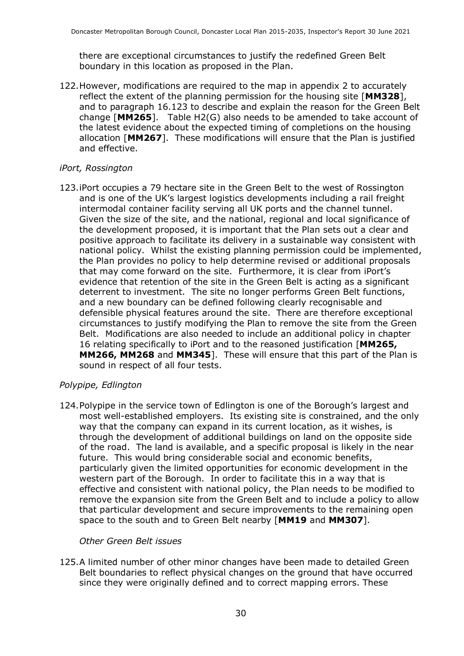there are exceptional circumstances to justify the redefined Green Belt boundary in this location as proposed in the Plan.

122.However, modifications are required to the map in appendix 2 to accurately reflect the extent of the planning permission for the housing site [**MM328**], and to paragraph 16.123 to describe and explain the reason for the Green Belt change [**MM265**]. Table H2(G) also needs to be amended to take account of the latest evidence about the expected timing of completions on the housing allocation [**MM267**]. These modifications will ensure that the Plan is justified and effective.

#### *iPort, Rossington*

123.iPort occupies a 79 hectare site in the Green Belt to the west of Rossington and is one of the UK's largest logistics developments including a rail freight intermodal container facility serving all UK ports and the channel tunnel. Given the size of the site, and the national, regional and local significance of the development proposed, it is important that the Plan sets out a clear and positive approach to facilitate its delivery in a sustainable way consistent with national policy. Whilst the existing planning permission could be implemented, the Plan provides no policy to help determine revised or additional proposals that may come forward on the site. Furthermore, it is clear from iPort's evidence that retention of the site in the Green Belt is acting as a significant deterrent to investment. The site no longer performs Green Belt functions, and a new boundary can be defined following clearly recognisable and defensible physical features around the site. There are therefore exceptional circumstances to justify modifying the Plan to remove the site from the Green Belt. Modifications are also needed to include an additional policy in chapter 16 relating specifically to iPort and to the reasoned justification [**MM265, MM266, MM268** and **MM345**]. These will ensure that this part of the Plan is sound in respect of all four tests.

#### *Polypipe, Edlington*

124.Polypipe in the service town of Edlington is one of the Borough's largest and most well-established employers. Its existing site is constrained, and the only way that the company can expand in its current location, as it wishes, is through the development of additional buildings on land on the opposite side of the road. The land is available, and a specific proposal is likely in the near future. This would bring considerable social and economic benefits, particularly given the limited opportunities for economic development in the western part of the Borough. In order to facilitate this in a way that is effective and consistent with national policy, the Plan needs to be modified to remove the expansion site from the Green Belt and to include a policy to allow that particular development and secure improvements to the remaining open space to the south and to Green Belt nearby [**MM19** and **MM307**].

#### *Other Green Belt issues*

125.A limited number of other minor changes have been made to detailed Green Belt boundaries to reflect physical changes on the ground that have occurred since they were originally defined and to correct mapping errors. These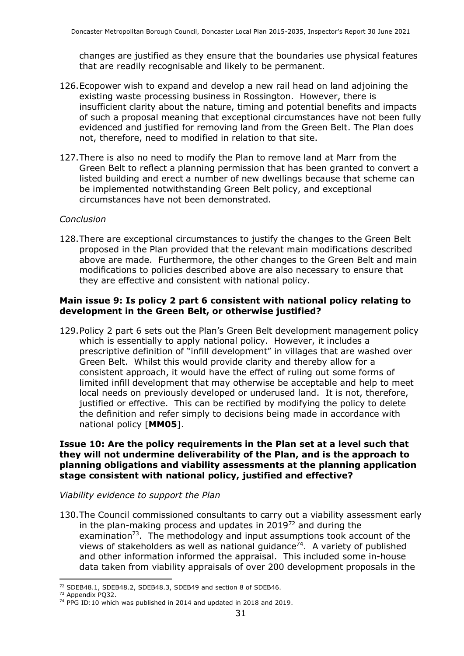changes are justified as they ensure that the boundaries use physical features that are readily recognisable and likely to be permanent.

- 126.Ecopower wish to expand and develop a new rail head on land adjoining the existing waste processing business in Rossington. However, there is insufficient clarity about the nature, timing and potential benefits and impacts of such a proposal meaning that exceptional circumstances have not been fully evidenced and justified for removing land from the Green Belt. The Plan does not, therefore, need to modified in relation to that site.
- 127.There is also no need to modify the Plan to remove land at Marr from the Green Belt to reflect a planning permission that has been granted to convert a listed building and erect a number of new dwellings because that scheme can be implemented notwithstanding Green Belt policy, and exceptional circumstances have not been demonstrated.

#### *Conclusion*

128.There are exceptional circumstances to justify the changes to the Green Belt proposed in the Plan provided that the relevant main modifications described above are made. Furthermore, the other changes to the Green Belt and main modifications to policies described above are also necessary to ensure that they are effective and consistent with national policy.

#### **Main issue 9: Is policy 2 part 6 consistent with national policy relating to development in the Green Belt, or otherwise justified?**

129.Policy 2 part 6 sets out the Plan's Green Belt development management policy which is essentially to apply national policy. However, it includes a prescriptive definition of "infill development" in villages that are washed over Green Belt. Whilst this would provide clarity and thereby allow for a consistent approach, it would have the effect of ruling out some forms of limited infill development that may otherwise be acceptable and help to meet local needs on previously developed or underused land. It is not, therefore, justified or effective. This can be rectified by modifying the policy to delete the definition and refer simply to decisions being made in accordance with national policy [**MM05**].

#### **Issue 10: Are the policy requirements in the Plan set at a level such that they will not undermine deliverability of the Plan, and is the approach to planning obligations and viability assessments at the planning application stage consistent with national policy, justified and effective?**

#### *Viability evidence to support the Plan*

130.The Council commissioned consultants to carry out a viability assessment early in the plan-making process and updates in  $2019^{72}$  and during the examination<sup>73</sup>. The methodology and input assumptions took account of the views of stakeholders as well as national guidance<sup>74</sup>. A variety of published and other information informed the appraisal. This included some in-house data taken from viability appraisals of over 200 development proposals in the

<sup>72</sup> SDEB48.1, SDEB48.2, SDEB48.3, SDEB49 and section 8 of SDEB46.

<sup>73</sup> Appendix PQ32.

<sup>&</sup>lt;sup>74</sup> PPG ID:10 which was published in 2014 and updated in 2018 and 2019.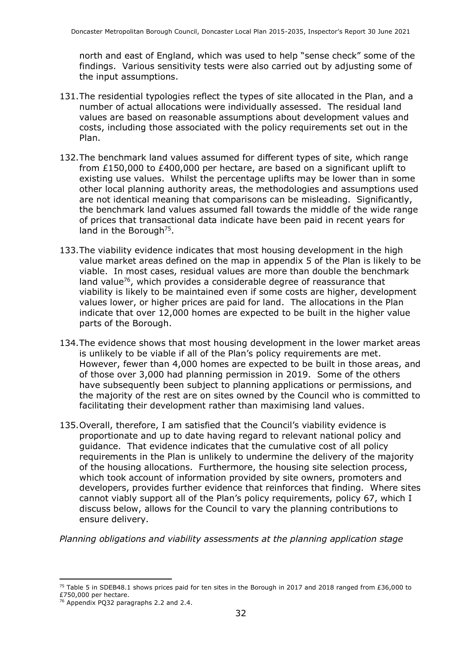north and east of England, which was used to help "sense check" some of the findings. Various sensitivity tests were also carried out by adjusting some of the input assumptions.

- 131.The residential typologies reflect the types of site allocated in the Plan, and a number of actual allocations were individually assessed. The residual land values are based on reasonable assumptions about development values and costs, including those associated with the policy requirements set out in the Plan.
- 132.The benchmark land values assumed for different types of site, which range from £150,000 to £400,000 per hectare, are based on a significant uplift to existing use values. Whilst the percentage uplifts may be lower than in some other local planning authority areas, the methodologies and assumptions used are not identical meaning that comparisons can be misleading. Significantly, the benchmark land values assumed fall towards the middle of the wide range of prices that transactional data indicate have been paid in recent years for land in the Borough<sup>75</sup>.
- 133.The viability evidence indicates that most housing development in the high value market areas defined on the map in appendix 5 of the Plan is likely to be viable. In most cases, residual values are more than double the benchmark land value<sup>76</sup>, which provides a considerable degree of reassurance that viability is likely to be maintained even if some costs are higher, development values lower, or higher prices are paid for land. The allocations in the Plan indicate that over 12,000 homes are expected to be built in the higher value parts of the Borough.
- 134.The evidence shows that most housing development in the lower market areas is unlikely to be viable if all of the Plan's policy requirements are met. However, fewer than 4,000 homes are expected to be built in those areas, and of those over 3,000 had planning permission in 2019. Some of the others have subsequently been subject to planning applications or permissions, and the majority of the rest are on sites owned by the Council who is committed to facilitating their development rather than maximising land values.
- 135.Overall, therefore, I am satisfied that the Council's viability evidence is proportionate and up to date having regard to relevant national policy and guidance. That evidence indicates that the cumulative cost of all policy requirements in the Plan is unlikely to undermine the delivery of the majority of the housing allocations. Furthermore, the housing site selection process, which took account of information provided by site owners, promoters and developers, provides further evidence that reinforces that finding. Where sites cannot viably support all of the Plan's policy requirements, policy 67, which I discuss below, allows for the Council to vary the planning contributions to ensure delivery.

*Planning obligations and viability assessments at the planning application stage*

<sup>&</sup>lt;sup>75</sup> Table 5 in SDEB48.1 shows prices paid for ten sites in the Borough in 2017 and 2018 ranged from £36,000 to £750,000 per hectare.

<sup>76</sup> Appendix PQ32 paragraphs 2.2 and 2.4.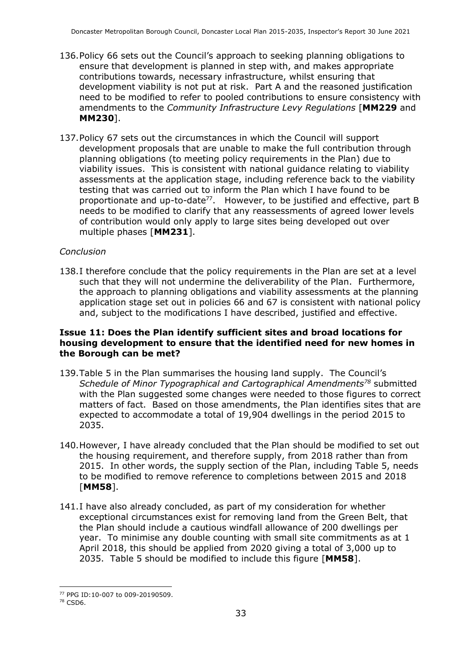- 136.Policy 66 sets out the Council's approach to seeking planning obligations to ensure that development is planned in step with, and makes appropriate contributions towards, necessary infrastructure, whilst ensuring that development viability is not put at risk. Part A and the reasoned justification need to be modified to refer to pooled contributions to ensure consistency with amendments to the *Community Infrastructure Levy Regulations* [**MM229** and **MM230**].
- 137.Policy 67 sets out the circumstances in which the Council will support development proposals that are unable to make the full contribution through planning obligations (to meeting policy requirements in the Plan) due to viability issues. This is consistent with national guidance relating to viability assessments at the application stage, including reference back to the viability testing that was carried out to inform the Plan which I have found to be proportionate and up-to-date<sup>77</sup>. However, to be justified and effective, part B needs to be modified to clarify that any reassessments of agreed lower levels of contribution would only apply to large sites being developed out over multiple phases [**MM231**].

#### *Conclusion*

138.I therefore conclude that the policy requirements in the Plan are set at a level such that they will not undermine the deliverability of the Plan. Furthermore, the approach to planning obligations and viability assessments at the planning application stage set out in policies 66 and 67 is consistent with national policy and, subject to the modifications I have described, justified and effective.

#### **Issue 11: Does the Plan identify sufficient sites and broad locations for housing development to ensure that the identified need for new homes in the Borough can be met?**

- 139.Table 5 in the Plan summarises the housing land supply. The Council's *Schedule of Minor Typographical and Cartographical Amendments<sup>78</sup>* submitted with the Plan suggested some changes were needed to those figures to correct matters of fact. Based on those amendments, the Plan identifies sites that are expected to accommodate a total of 19,904 dwellings in the period 2015 to 2035.
- 140.However, I have already concluded that the Plan should be modified to set out the housing requirement, and therefore supply, from 2018 rather than from 2015. In other words, the supply section of the Plan, including Table 5, needs to be modified to remove reference to completions between 2015 and 2018 [**MM58**].
- 141.I have also already concluded, as part of my consideration for whether exceptional circumstances exist for removing land from the Green Belt, that the Plan should include a cautious windfall allowance of 200 dwellings per year. To minimise any double counting with small site commitments as at 1 April 2018, this should be applied from 2020 giving a total of 3,000 up to 2035. Table 5 should be modified to include this figure [**MM58**].

<sup>77</sup> PPG ID:10-007 to 009-20190509.

<sup>78</sup> CSD6.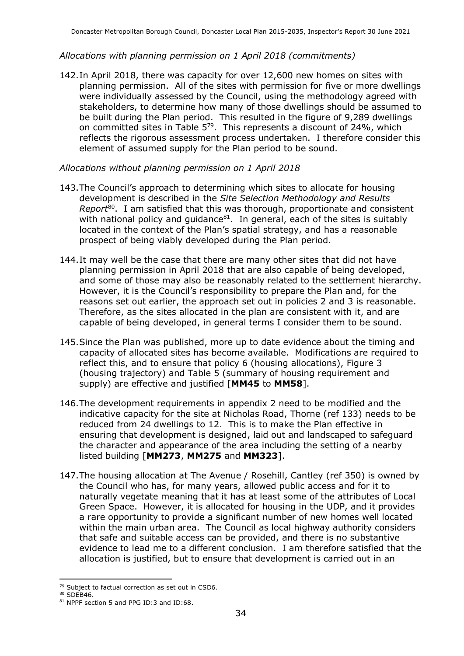#### *Allocations with planning permission on 1 April 2018 (commitments)*

142.In April 2018, there was capacity for over 12,600 new homes on sites with planning permission. All of the sites with permission for five or more dwellings were individually assessed by the Council, using the methodology agreed with stakeholders, to determine how many of those dwellings should be assumed to be built during the Plan period. This resulted in the figure of 9,289 dwellings on committed sites in Table  $5^{79}$ . This represents a discount of 24%, which reflects the rigorous assessment process undertaken. I therefore consider this element of assumed supply for the Plan period to be sound.

#### *Allocations without planning permission on 1 April 2018*

- 143.The Council's approach to determining which sites to allocate for housing development is described in the *Site Selection Methodology and Results*  Report<sup>80</sup>. I am satisfied that this was thorough, proportionate and consistent with national policy and guidance $81$ . In general, each of the sites is suitably located in the context of the Plan's spatial strategy, and has a reasonable prospect of being viably developed during the Plan period.
- 144.It may well be the case that there are many other sites that did not have planning permission in April 2018 that are also capable of being developed, and some of those may also be reasonably related to the settlement hierarchy. However, it is the Council's responsibility to prepare the Plan and, for the reasons set out earlier, the approach set out in policies 2 and 3 is reasonable. Therefore, as the sites allocated in the plan are consistent with it, and are capable of being developed, in general terms I consider them to be sound.
- 145.Since the Plan was published, more up to date evidence about the timing and capacity of allocated sites has become available. Modifications are required to reflect this, and to ensure that policy 6 (housing allocations), Figure 3 (housing trajectory) and Table 5 (summary of housing requirement and supply) are effective and justified [**MM45** to **MM58**].
- 146.The development requirements in appendix 2 need to be modified and the indicative capacity for the site at Nicholas Road, Thorne (ref 133) needs to be reduced from 24 dwellings to 12. This is to make the Plan effective in ensuring that development is designed, laid out and landscaped to safeguard the character and appearance of the area including the setting of a nearby listed building [**MM273**, **MM275** and **MM323**].
- 147.The housing allocation at The Avenue / Rosehill, Cantley (ref 350) is owned by the Council who has, for many years, allowed public access and for it to naturally vegetate meaning that it has at least some of the attributes of Local Green Space. However, it is allocated for housing in the UDP, and it provides a rare opportunity to provide a significant number of new homes well located within the main urban area. The Council as local highway authority considers that safe and suitable access can be provided, and there is no substantive evidence to lead me to a different conclusion. I am therefore satisfied that the allocation is justified, but to ensure that development is carried out in an

<sup>79</sup> Subject to factual correction as set out in CSD6.

<sup>80</sup> SDEB46.

<sup>81</sup> NPPF section 5 and PPG ID:3 and ID:68.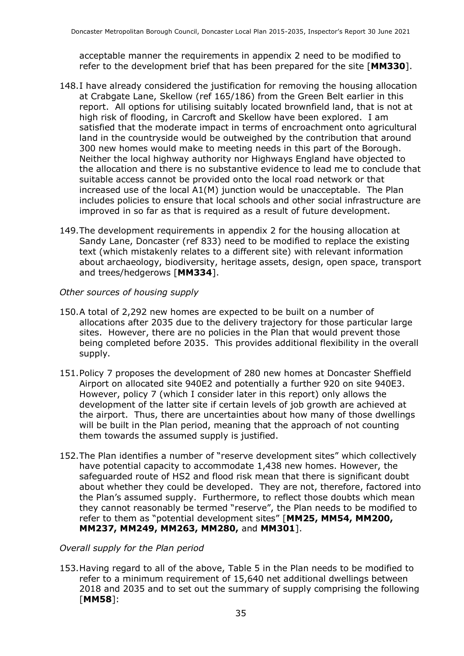acceptable manner the requirements in appendix 2 need to be modified to refer to the development brief that has been prepared for the site [**MM330**].

- 148.I have already considered the justification for removing the housing allocation at Crabgate Lane, Skellow (ref 165/186) from the Green Belt earlier in this report. All options for utilising suitably located brownfield land, that is not at high risk of flooding, in Carcroft and Skellow have been explored. I am satisfied that the moderate impact in terms of encroachment onto agricultural land in the countryside would be outweighed by the contribution that around 300 new homes would make to meeting needs in this part of the Borough. Neither the local highway authority nor Highways England have objected to the allocation and there is no substantive evidence to lead me to conclude that suitable access cannot be provided onto the local road network or that increased use of the local A1(M) junction would be unacceptable. The Plan includes policies to ensure that local schools and other social infrastructure are improved in so far as that is required as a result of future development.
- 149.The development requirements in appendix 2 for the housing allocation at Sandy Lane, Doncaster (ref 833) need to be modified to replace the existing text (which mistakenly relates to a different site) with relevant information about archaeology, biodiversity, heritage assets, design, open space, transport and trees/hedgerows [**MM334**].
- *Other sources of housing supply*
- 150.A total of 2,292 new homes are expected to be built on a number of allocations after 2035 due to the delivery trajectory for those particular large sites. However, there are no policies in the Plan that would prevent those being completed before 2035. This provides additional flexibility in the overall supply.
- 151.Policy 7 proposes the development of 280 new homes at Doncaster Sheffield Airport on allocated site 940E2 and potentially a further 920 on site 940E3. However, policy 7 (which I consider later in this report) only allows the development of the latter site if certain levels of job growth are achieved at the airport. Thus, there are uncertainties about how many of those dwellings will be built in the Plan period, meaning that the approach of not counting them towards the assumed supply is justified.
- 152.The Plan identifies a number of "reserve development sites" which collectively have potential capacity to accommodate 1,438 new homes. However, the safeguarded route of HS2 and flood risk mean that there is significant doubt about whether they could be developed. They are not, therefore, factored into the Plan's assumed supply. Furthermore, to reflect those doubts which mean they cannot reasonably be termed "reserve", the Plan needs to be modified to refer to them as "potential development sites" [**MM25, MM54, MM200, MM237, MM249, MM263, MM280,** and **MM301**].

#### *Overall supply for the Plan period*

153.Having regard to all of the above, Table 5 in the Plan needs to be modified to refer to a minimum requirement of 15,640 net additional dwellings between 2018 and 2035 and to set out the summary of supply comprising the following [**MM58**]: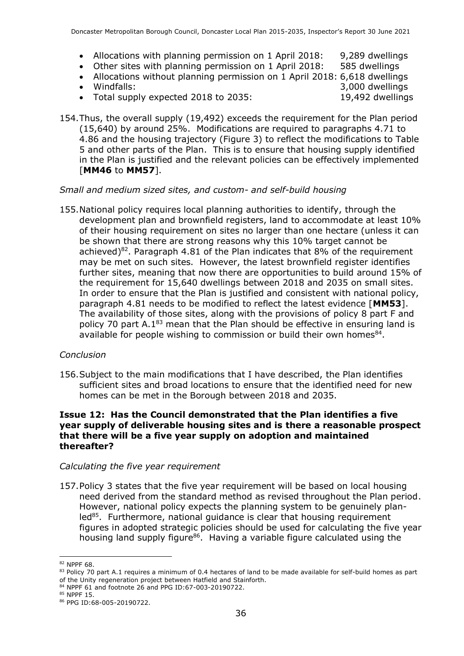- Allocations with planning permission on 1 April 2018: 9,289 dwellings
- Other sites with planning permission on 1 April 2018: 585 dwellings
- Allocations without planning permission on 1 April 2018: 6,618 dwellings
- 
- Total supply expected 2018 to 2035: 19,492 dwellings

• Windfalls: 3,000 dwellings

154.Thus, the overall supply (19,492) exceeds the requirement for the Plan period (15,640) by around 25%. Modifications are required to paragraphs 4.71 to 4.86 and the housing trajectory (Figure 3) to reflect the modifications to Table 5 and other parts of the Plan. This is to ensure that housing supply identified in the Plan is justified and the relevant policies can be effectively implemented [**MM46** to **MM57**].

#### *Small and medium sized sites, and custom- and self-build housing*

155.National policy requires local planning authorities to identify, through the development plan and brownfield registers, land to accommodate at least 10% of their housing requirement on sites no larger than one hectare (unless it can be shown that there are strong reasons why this 10% target cannot be achieved)<sup>82</sup>. Paragraph 4.81 of the Plan indicates that  $8\%$  of the requirement may be met on such sites. However, the latest brownfield register identifies further sites, meaning that now there are opportunities to build around 15% of the requirement for 15,640 dwellings between 2018 and 2035 on small sites. In order to ensure that the Plan is justified and consistent with national policy, paragraph 4.81 needs to be modified to reflect the latest evidence [**MM53**]. The availability of those sites, along with the provisions of policy 8 part F and policy 70 part A.1<sup>83</sup> mean that the Plan should be effective in ensuring land is available for people wishing to commission or build their own homes $^{84}$ .

#### *Conclusion*

156.Subject to the main modifications that I have described, the Plan identifies sufficient sites and broad locations to ensure that the identified need for new homes can be met in the Borough between 2018 and 2035.

#### **Issue 12: Has the Council demonstrated that the Plan identifies a five year supply of deliverable housing sites and is there a reasonable prospect that there will be a five year supply on adoption and maintained thereafter?**

#### *Calculating the five year requirement*

157.Policy 3 states that the five year requirement will be based on local housing need derived from the standard method as revised throughout the Plan period. However, national policy expects the planning system to be genuinely planled<sup>85</sup>. Furthermore, national guidance is clear that housing requirement figures in adopted strategic policies should be used for calculating the five year housing land supply figure<sup>86</sup>. Having a variable figure calculated using the

<sup>82</sup> NPPF 68.

<sup>83</sup> Policy 70 part A.1 requires a minimum of 0.4 hectares of land to be made available for self-build homes as part of the Unity regeneration project between Hatfield and Stainforth.

<sup>84</sup> NPPF 61 and footnote 26 and PPG ID:67-003-20190722.

<sup>85</sup> NPPF 15.

<sup>86</sup> PPG ID:68-005-20190722.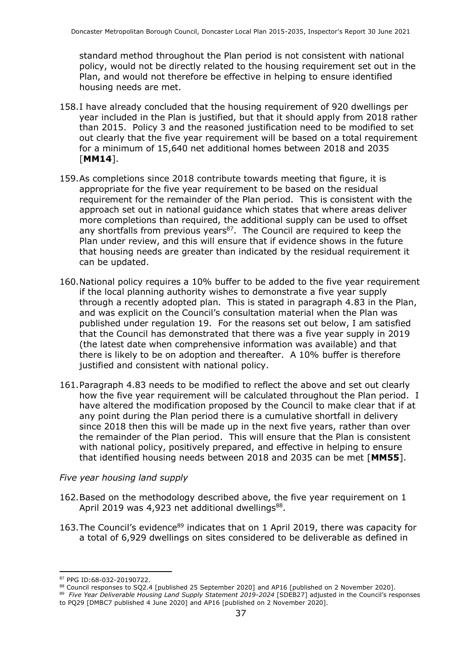standard method throughout the Plan period is not consistent with national policy, would not be directly related to the housing requirement set out in the Plan, and would not therefore be effective in helping to ensure identified housing needs are met.

- 158.I have already concluded that the housing requirement of 920 dwellings per year included in the Plan is justified, but that it should apply from 2018 rather than 2015. Policy 3 and the reasoned justification need to be modified to set out clearly that the five year requirement will be based on a total requirement for a minimum of 15,640 net additional homes between 2018 and 2035 [**MM14**].
- 159.As completions since 2018 contribute towards meeting that figure, it is appropriate for the five year requirement to be based on the residual requirement for the remainder of the Plan period. This is consistent with the approach set out in national guidance which states that where areas deliver more completions than required, the additional supply can be used to offset any shortfalls from previous years<sup>87</sup>. The Council are required to keep the Plan under review, and this will ensure that if evidence shows in the future that housing needs are greater than indicated by the residual requirement it can be updated.
- 160.National policy requires a 10% buffer to be added to the five year requirement if the local planning authority wishes to demonstrate a five year supply through a recently adopted plan. This is stated in paragraph 4.83 in the Plan, and was explicit on the Council's consultation material when the Plan was published under regulation 19. For the reasons set out below, I am satisfied that the Council has demonstrated that there was a five year supply in 2019 (the latest date when comprehensive information was available) and that there is likely to be on adoption and thereafter. A 10% buffer is therefore justified and consistent with national policy.
- 161.Paragraph 4.83 needs to be modified to reflect the above and set out clearly how the five year requirement will be calculated throughout the Plan period. I have altered the modification proposed by the Council to make clear that if at any point during the Plan period there is a cumulative shortfall in delivery since 2018 then this will be made up in the next five years, rather than over the remainder of the Plan period. This will ensure that the Plan is consistent with national policy, positively prepared, and effective in helping to ensure that identified housing needs between 2018 and 2035 can be met [**MM55**].

#### *Five year housing land supply*

- 162.Based on the methodology described above, the five year requirement on 1 April 2019 was 4,923 net additional dwellings $^{88}$ .
- 163. The Council's evidence<sup>89</sup> indicates that on 1 April 2019, there was capacity for a total of 6,929 dwellings on sites considered to be deliverable as defined in

<sup>88</sup> Council responses to SQ2.4 [published 25 September 2020] and AP16 [published on 2 November 2020].<br><sup>89</sup> *Five Year Deliverable Housing Land Supply Statement 2019-2024* [SDEB27] adjusted in the Council's responses

<sup>87</sup> PPG ID:68-032-20190722.

to PQ29 [DMBC7 published 4 June 2020] and AP16 [published on 2 November 2020].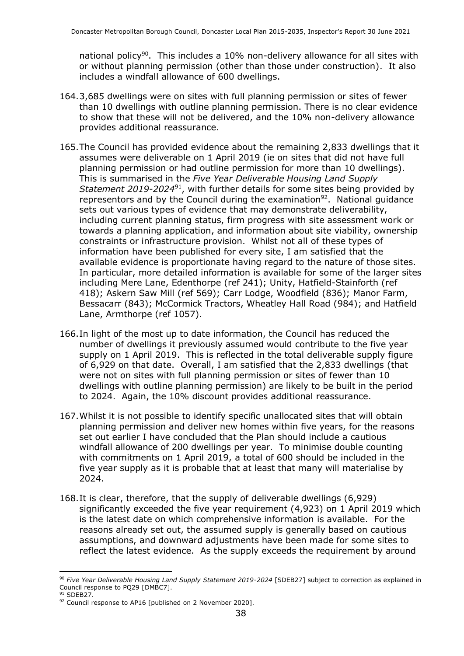national policy<sup>90</sup>. This includes a 10% non-delivery allowance for all sites with or without planning permission (other than those under construction). It also includes a windfall allowance of 600 dwellings.

- 164.3,685 dwellings were on sites with full planning permission or sites of fewer than 10 dwellings with outline planning permission. There is no clear evidence to show that these will not be delivered, and the 10% non-delivery allowance provides additional reassurance.
- 165.The Council has provided evidence about the remaining 2,833 dwellings that it assumes were deliverable on 1 April 2019 (ie on sites that did not have full planning permission or had outline permission for more than 10 dwellings). This is summarised in the *Five Year Deliverable Housing Land Supply Statement 2019-2024*<sup>91</sup>, with further details for some sites being provided by representors and by the Council during the examination<sup>92</sup>. National guidance sets out various types of evidence that may demonstrate deliverability, including current planning status, firm progress with site assessment work or towards a planning application, and information about site viability, ownership constraints or infrastructure provision. Whilst not all of these types of information have been published for every site, I am satisfied that the available evidence is proportionate having regard to the nature of those sites. In particular, more detailed information is available for some of the larger sites including Mere Lane, Edenthorpe (ref 241); Unity, Hatfield-Stainforth (ref 418); Askern Saw Mill (ref 569); Carr Lodge, Woodfield (836); Manor Farm, Bessacarr (843); McCormick Tractors, Wheatley Hall Road (984); and Hatfield Lane, Armthorpe (ref 1057).
- 166.In light of the most up to date information, the Council has reduced the number of dwellings it previously assumed would contribute to the five year supply on 1 April 2019. This is reflected in the total deliverable supply figure of 6,929 on that date. Overall, I am satisfied that the 2,833 dwellings (that were not on sites with full planning permission or sites of fewer than 10 dwellings with outline planning permission) are likely to be built in the period to 2024. Again, the 10% discount provides additional reassurance.
- 167.Whilst it is not possible to identify specific unallocated sites that will obtain planning permission and deliver new homes within five years, for the reasons set out earlier I have concluded that the Plan should include a cautious windfall allowance of 200 dwellings per year. To minimise double counting with commitments on 1 April 2019, a total of 600 should be included in the five year supply as it is probable that at least that many will materialise by 2024.
- 168.It is clear, therefore, that the supply of deliverable dwellings (6,929) significantly exceeded the five year requirement (4,923) on 1 April 2019 which is the latest date on which comprehensive information is available. For the reasons already set out, the assumed supply is generally based on cautious assumptions, and downward adjustments have been made for some sites to reflect the latest evidence. As the supply exceeds the requirement by around

<sup>90</sup> *Five Year Deliverable Housing Land Supply Statement 2019-2024* [SDEB27] subject to correction as explained in Council response to PQ29 [DMBC7].

<sup>&</sup>lt;sup>91</sup> SDEB27.

<sup>92</sup> Council response to AP16 [published on 2 November 2020].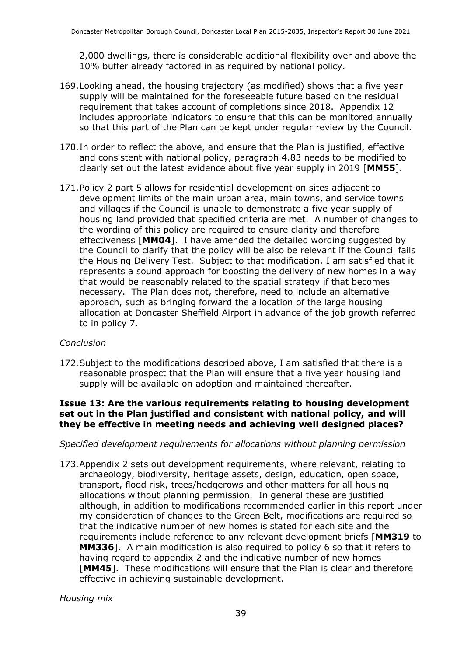2,000 dwellings, there is considerable additional flexibility over and above the 10% buffer already factored in as required by national policy.

- 169.Looking ahead, the housing trajectory (as modified) shows that a five year supply will be maintained for the foreseeable future based on the residual requirement that takes account of completions since 2018. Appendix 12 includes appropriate indicators to ensure that this can be monitored annually so that this part of the Plan can be kept under regular review by the Council.
- 170.In order to reflect the above, and ensure that the Plan is justified, effective and consistent with national policy, paragraph 4.83 needs to be modified to clearly set out the latest evidence about five year supply in 2019 [**MM55**].
- 171.Policy 2 part 5 allows for residential development on sites adjacent to development limits of the main urban area, main towns, and service towns and villages if the Council is unable to demonstrate a five year supply of housing land provided that specified criteria are met. A number of changes to the wording of this policy are required to ensure clarity and therefore effectiveness [**MM04**]. I have amended the detailed wording suggested by the Council to clarify that the policy will be also be relevant if the Council fails the Housing Delivery Test. Subject to that modification, I am satisfied that it represents a sound approach for boosting the delivery of new homes in a way that would be reasonably related to the spatial strategy if that becomes necessary. The Plan does not, therefore, need to include an alternative approach, such as bringing forward the allocation of the large housing allocation at Doncaster Sheffield Airport in advance of the job growth referred to in policy 7.

#### *Conclusion*

172.Subject to the modifications described above, I am satisfied that there is a reasonable prospect that the Plan will ensure that a five year housing land supply will be available on adoption and maintained thereafter.

#### **Issue 13: Are the various requirements relating to housing development set out in the Plan justified and consistent with national policy, and will they be effective in meeting needs and achieving well designed places?**

#### *Specified development requirements for allocations without planning permission*

173.Appendix 2 sets out development requirements, where relevant, relating to archaeology, biodiversity, heritage assets, design, education, open space, transport, flood risk, trees/hedgerows and other matters for all housing allocations without planning permission. In general these are justified although, in addition to modifications recommended earlier in this report under my consideration of changes to the Green Belt, modifications are required so that the indicative number of new homes is stated for each site and the requirements include reference to any relevant development briefs [**MM319** to **MM336**]. A main modification is also required to policy 6 so that it refers to having regard to appendix 2 and the indicative number of new homes [**MM45**]. These modifications will ensure that the Plan is clear and therefore effective in achieving sustainable development.

*Housing mix*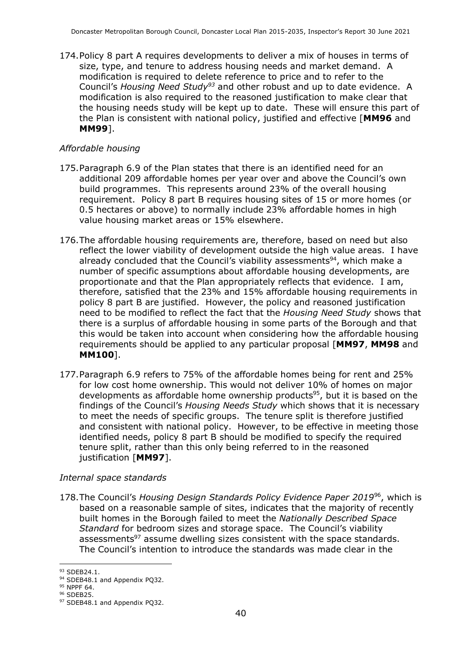174.Policy 8 part A requires developments to deliver a mix of houses in terms of size, type, and tenure to address housing needs and market demand. A modification is required to delete reference to price and to refer to the Council's *Housing Need Study<sup>93</sup>* and other robust and up to date evidence. A modification is also required to the reasoned justification to make clear that the housing needs study will be kept up to date. These will ensure this part of the Plan is consistent with national policy, justified and effective [**MM96** and **MM99**].

#### *Affordable housing*

- 175.Paragraph 6.9 of the Plan states that there is an identified need for an additional 209 affordable homes per year over and above the Council's own build programmes. This represents around 23% of the overall housing requirement. Policy 8 part B requires housing sites of 15 or more homes (or 0.5 hectares or above) to normally include 23% affordable homes in high value housing market areas or 15% elsewhere.
- 176.The affordable housing requirements are, therefore, based on need but also reflect the lower viability of development outside the high value areas. I have already concluded that the Council's viability assessments<sup>94</sup>, which make a number of specific assumptions about affordable housing developments, are proportionate and that the Plan appropriately reflects that evidence. I am, therefore, satisfied that the 23% and 15% affordable housing requirements in policy 8 part B are justified. However, the policy and reasoned justification need to be modified to reflect the fact that the *Housing Need Study* shows that there is a surplus of affordable housing in some parts of the Borough and that this would be taken into account when considering how the affordable housing requirements should be applied to any particular proposal [**MM97**, **MM98** and **MM100**].
- 177.Paragraph 6.9 refers to 75% of the affordable homes being for rent and 25% for low cost home ownership. This would not deliver 10% of homes on major developments as affordable home ownership products<sup>95</sup>, but it is based on the findings of the Council's *Housing Needs Study* which shows that it is necessary to meet the needs of specific groups. The tenure split is therefore justified and consistent with national policy. However, to be effective in meeting those identified needs, policy 8 part B should be modified to specify the required tenure split, rather than this only being referred to in the reasoned justification [**MM97**].

#### *Internal space standards*

178.The Council's *Housing Design Standards Policy Evidence Paper 2019*<sup>96</sup>, which is based on a reasonable sample of sites, indicates that the majority of recently built homes in the Borough failed to meet the *Nationally Described Space Standard* for bedroom sizes and storage space. The Council's viability assessments<sup>97</sup> assume dwelling sizes consistent with the space standards. The Council's intention to introduce the standards was made clear in the

<sup>93</sup> SDEB24.1.

<sup>94</sup> SDEB48.1 and Appendix PQ32.

<sup>95</sup> NPPF 64.

<sup>96</sup> SDEB25.

<sup>97</sup> SDEB48.1 and Appendix PQ32.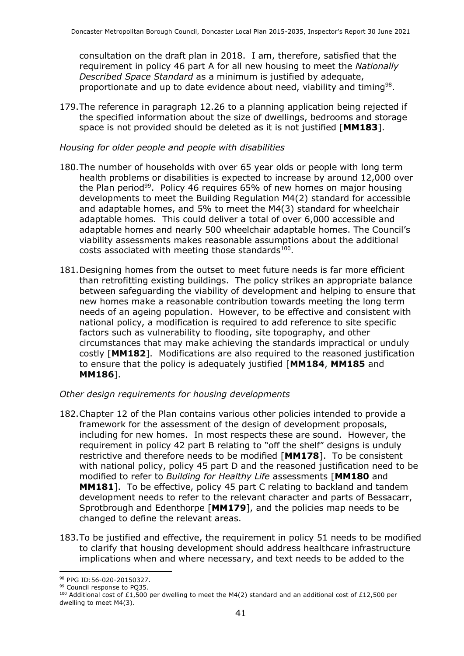consultation on the draft plan in 2018. I am, therefore, satisfied that the requirement in policy 46 part A for all new housing to meet the *Nationally Described Space Standard* as a minimum is justified by adequate, proportionate and up to date evidence about need, viability and timing<sup>98</sup>.

179.The reference in paragraph 12.26 to a planning application being rejected if the specified information about the size of dwellings, bedrooms and storage space is not provided should be deleted as it is not justified [**MM183**].

#### *Housing for older people and people with disabilities*

- 180.The number of households with over 65 year olds or people with long term health problems or disabilities is expected to increase by around 12,000 over the Plan period<sup>99</sup>. Policy 46 requires 65% of new homes on major housing developments to meet the Building Regulation M4(2) standard for accessible and adaptable homes, and 5% to meet the M4(3) standard for wheelchair adaptable homes. This could deliver a total of over 6,000 accessible and adaptable homes and nearly 500 wheelchair adaptable homes. The Council's viability assessments makes reasonable assumptions about the additional costs associated with meeting those standards<sup>100</sup>.
- 181.Designing homes from the outset to meet future needs is far more efficient than retrofitting existing buildings. The policy strikes an appropriate balance between safeguarding the viability of development and helping to ensure that new homes make a reasonable contribution towards meeting the long term needs of an ageing population. However, to be effective and consistent with national policy, a modification is required to add reference to site specific factors such as vulnerability to flooding, site topography, and other circumstances that may make achieving the standards impractical or unduly costly [**MM182**]. Modifications are also required to the reasoned justification to ensure that the policy is adequately justified [**MM184**, **MM185** and **MM186**].

#### *Other design requirements for housing developments*

- 182.Chapter 12 of the Plan contains various other policies intended to provide a framework for the assessment of the design of development proposals, including for new homes. In most respects these are sound. However, the requirement in policy 42 part B relating to "off the shelf" designs is unduly restrictive and therefore needs to be modified [**MM178**]. To be consistent with national policy, policy 45 part D and the reasoned justification need to be modified to refer to *Building for Healthy Life* assessments [**MM180** and **MM181**]. To be effective, policy 45 part C relating to backland and tandem development needs to refer to the relevant character and parts of Bessacarr, Sprotbrough and Edenthorpe [**MM179**], and the policies map needs to be changed to define the relevant areas.
- 183.To be justified and effective, the requirement in policy 51 needs to be modified to clarify that housing development should address healthcare infrastructure implications when and where necessary, and text needs to be added to the

<sup>98</sup> PPG ID:56-020-20150327.

<sup>99</sup> Council response to PQ35.

<sup>&</sup>lt;sup>100</sup> Additional cost of £1,500 per dwelling to meet the M4(2) standard and an additional cost of £12,500 per dwelling to meet M4(3).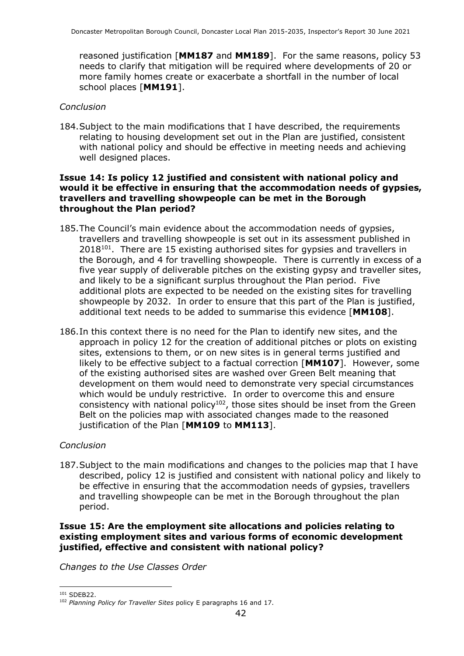reasoned justification [**MM187** and **MM189**]. For the same reasons, policy 53 needs to clarify that mitigation will be required where developments of 20 or more family homes create or exacerbate a shortfall in the number of local school places [**MM191**].

#### *Conclusion*

184.Subject to the main modifications that I have described, the requirements relating to housing development set out in the Plan are justified, consistent with national policy and should be effective in meeting needs and achieving well designed places.

#### **Issue 14: Is policy 12 justified and consistent with national policy and would it be effective in ensuring that the accommodation needs of gypsies, travellers and travelling showpeople can be met in the Borough throughout the Plan period?**

- 185.The Council's main evidence about the accommodation needs of gypsies, travellers and travelling showpeople is set out in its assessment published in  $2018^{101}$ . There are 15 existing authorised sites for gypsies and travellers in the Borough, and 4 for travelling showpeople. There is currently in excess of a five year supply of deliverable pitches on the existing gypsy and traveller sites, and likely to be a significant surplus throughout the Plan period. Five additional plots are expected to be needed on the existing sites for travelling showpeople by 2032. In order to ensure that this part of the Plan is justified, additional text needs to be added to summarise this evidence [**MM108**].
- 186.In this context there is no need for the Plan to identify new sites, and the approach in policy 12 for the creation of additional pitches or plots on existing sites, extensions to them, or on new sites is in general terms justified and likely to be effective subject to a factual correction [**MM107**]. However, some of the existing authorised sites are washed over Green Belt meaning that development on them would need to demonstrate very special circumstances which would be unduly restrictive. In order to overcome this and ensure consistency with national policy<sup>102</sup>, those sites should be inset from the Green Belt on the policies map with associated changes made to the reasoned justification of the Plan [**MM109** to **MM113**].

#### *Conclusion*

187.Subject to the main modifications and changes to the policies map that I have described, policy 12 is justified and consistent with national policy and likely to be effective in ensuring that the accommodation needs of gypsies, travellers and travelling showpeople can be met in the Borough throughout the plan period.

#### **Issue 15: Are the employment site allocations and policies relating to existing employment sites and various forms of economic development justified, effective and consistent with national policy?**

*Changes to the Use Classes Order*

<sup>101</sup> SDEB22.

<sup>102</sup> *Planning Policy for Traveller Sites* policy E paragraphs 16 and 17.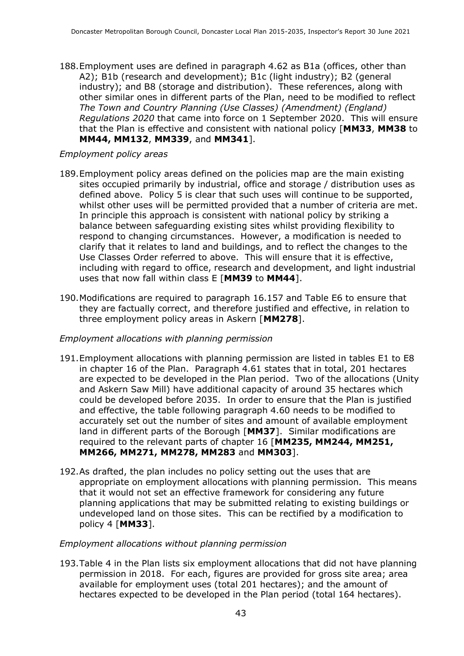188.Employment uses are defined in paragraph 4.62 as B1a (offices, other than A2); B1b (research and development); B1c (light industry); B2 (general industry); and B8 (storage and distribution). These references, along with other similar ones in different parts of the Plan, need to be modified to reflect *The Town and Country Planning (Use Classes) (Amendment) (England) Regulations 2020* that came into force on 1 September 2020. This will ensure that the Plan is effective and consistent with national policy [**MM33**, **MM38** to **MM44, MM132**, **MM339**, and **MM341**].

#### *Employment policy areas*

- 189.Employment policy areas defined on the policies map are the main existing sites occupied primarily by industrial, office and storage / distribution uses as defined above. Policy 5 is clear that such uses will continue to be supported, whilst other uses will be permitted provided that a number of criteria are met. In principle this approach is consistent with national policy by striking a balance between safeguarding existing sites whilst providing flexibility to respond to changing circumstances. However, a modification is needed to clarify that it relates to land and buildings, and to reflect the changes to the Use Classes Order referred to above. This will ensure that it is effective, including with regard to office, research and development, and light industrial uses that now fall within class E [**MM39** to **MM44**].
- 190.Modifications are required to paragraph 16.157 and Table E6 to ensure that they are factually correct, and therefore justified and effective, in relation to three employment policy areas in Askern [**MM278**].

#### *Employment allocations with planning permission*

- 191.Employment allocations with planning permission are listed in tables E1 to E8 in chapter 16 of the Plan. Paragraph 4.61 states that in total, 201 hectares are expected to be developed in the Plan period. Two of the allocations (Unity and Askern Saw Mill) have additional capacity of around 35 hectares which could be developed before 2035. In order to ensure that the Plan is justified and effective, the table following paragraph 4.60 needs to be modified to accurately set out the number of sites and amount of available employment land in different parts of the Borough [**MM37**]. Similar modifications are required to the relevant parts of chapter 16 [**MM235, MM244, MM251, MM266, MM271, MM278, MM283** and **MM303**].
- 192.As drafted, the plan includes no policy setting out the uses that are appropriate on employment allocations with planning permission. This means that it would not set an effective framework for considering any future planning applications that may be submitted relating to existing buildings or undeveloped land on those sites. This can be rectified by a modification to policy 4 [**MM33**].

#### *Employment allocations without planning permission*

193.Table 4 in the Plan lists six employment allocations that did not have planning permission in 2018. For each, figures are provided for gross site area; area available for employment uses (total 201 hectares); and the amount of hectares expected to be developed in the Plan period (total 164 hectares).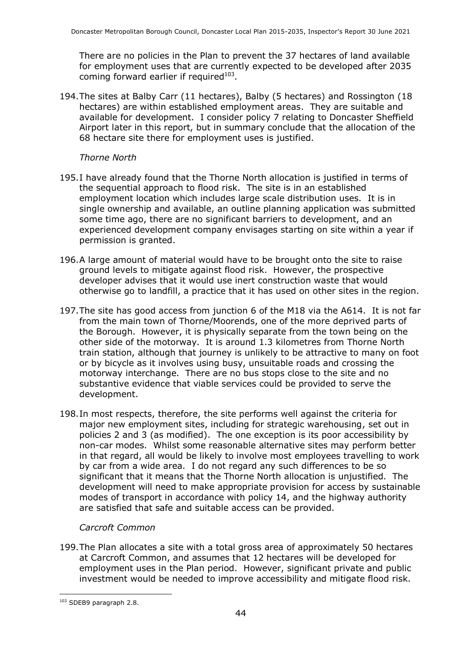There are no policies in the Plan to prevent the 37 hectares of land available for employment uses that are currently expected to be developed after 2035 coming forward earlier if required $103$ .

194.The sites at Balby Carr (11 hectares), Balby (5 hectares) and Rossington (18 hectares) are within established employment areas. They are suitable and available for development. I consider policy 7 relating to Doncaster Sheffield Airport later in this report, but in summary conclude that the allocation of the 68 hectare site there for employment uses is justified.

#### *Thorne North*

- 195.I have already found that the Thorne North allocation is justified in terms of the sequential approach to flood risk. The site is in an established employment location which includes large scale distribution uses. It is in single ownership and available, an outline planning application was submitted some time ago, there are no significant barriers to development, and an experienced development company envisages starting on site within a year if permission is granted.
- 196.A large amount of material would have to be brought onto the site to raise ground levels to mitigate against flood risk. However, the prospective developer advises that it would use inert construction waste that would otherwise go to landfill, a practice that it has used on other sites in the region.
- 197.The site has good access from junction 6 of the M18 via the A614. It is not far from the main town of Thorne/Moorends, one of the more deprived parts of the Borough. However, it is physically separate from the town being on the other side of the motorway. It is around 1.3 kilometres from Thorne North train station, although that journey is unlikely to be attractive to many on foot or by bicycle as it involves using busy, unsuitable roads and crossing the motorway interchange. There are no bus stops close to the site and no substantive evidence that viable services could be provided to serve the development.
- 198.In most respects, therefore, the site performs well against the criteria for major new employment sites, including for strategic warehousing, set out in policies 2 and 3 (as modified). The one exception is its poor accessibility by non-car modes. Whilst some reasonable alternative sites may perform better in that regard, all would be likely to involve most employees travelling to work by car from a wide area. I do not regard any such differences to be so significant that it means that the Thorne North allocation is unjustified. The development will need to make appropriate provision for access by sustainable modes of transport in accordance with policy 14, and the highway authority are satisfied that safe and suitable access can be provided.

#### *Carcroft Common*

199.The Plan allocates a site with a total gross area of approximately 50 hectares at Carcroft Common, and assumes that 12 hectares will be developed for employment uses in the Plan period. However, significant private and public investment would be needed to improve accessibility and mitigate flood risk.

<sup>103</sup> SDEB9 paragraph 2.8.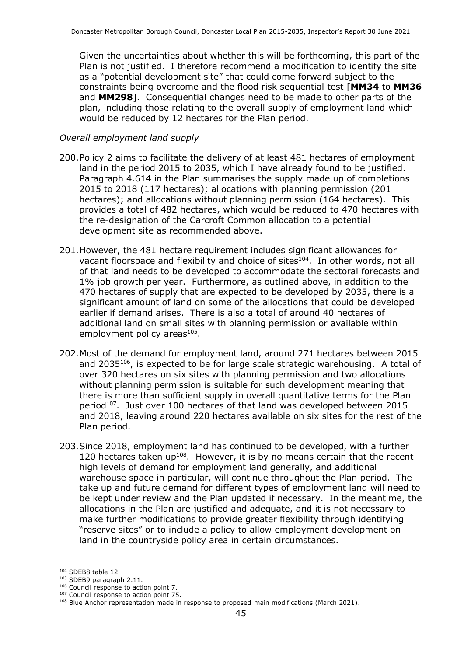Given the uncertainties about whether this will be forthcoming, this part of the Plan is not justified. I therefore recommend a modification to identify the site as a "potential development site" that could come forward subject to the constraints being overcome and the flood risk sequential test [**MM34** to **MM36** and **MM298**]. Consequential changes need to be made to other parts of the plan, including those relating to the overall supply of employment land which would be reduced by 12 hectares for the Plan period.

#### *Overall employment land supply*

- 200.Policy 2 aims to facilitate the delivery of at least 481 hectares of employment land in the period 2015 to 2035, which I have already found to be justified. Paragraph 4.614 in the Plan summarises the supply made up of completions 2015 to 2018 (117 hectares); allocations with planning permission (201 hectares); and allocations without planning permission (164 hectares). This provides a total of 482 hectares, which would be reduced to 470 hectares with the re-designation of the Carcroft Common allocation to a potential development site as recommended above.
- 201.However, the 481 hectare requirement includes significant allowances for vacant floorspace and flexibility and choice of sites $104$ . In other words, not all of that land needs to be developed to accommodate the sectoral forecasts and 1% job growth per year. Furthermore, as outlined above, in addition to the 470 hectares of supply that are expected to be developed by 2035, there is a significant amount of land on some of the allocations that could be developed earlier if demand arises. There is also a total of around 40 hectares of additional land on small sites with planning permission or available within employment policy areas<sup>105</sup>.
- 202.Most of the demand for employment land, around 271 hectares between 2015 and 2035<sup>106</sup>, is expected to be for large scale strategic warehousing. A total of over 320 hectares on six sites with planning permission and two allocations without planning permission is suitable for such development meaning that there is more than sufficient supply in overall quantitative terms for the Plan period<sup>107</sup>. Just over 100 hectares of that land was developed between 2015 and 2018, leaving around 220 hectares available on six sites for the rest of the Plan period.
- 203.Since 2018, employment land has continued to be developed, with a further 120 hectares taken up<sup>108</sup>. However, it is by no means certain that the recent high levels of demand for employment land generally, and additional warehouse space in particular, will continue throughout the Plan period. The take up and future demand for different types of employment land will need to be kept under review and the Plan updated if necessary. In the meantime, the allocations in the Plan are justified and adequate, and it is not necessary to make further modifications to provide greater flexibility through identifying "reserve sites" or to include a policy to allow employment development on land in the countryside policy area in certain circumstances.

<sup>104</sup> SDEB8 table 12.

<sup>105</sup> SDEB9 paragraph 2.11.

<sup>106</sup> Council response to action point 7.

<sup>&</sup>lt;sup>107</sup> Council response to action point 75.

<sup>108</sup> Blue Anchor representation made in response to proposed main modifications (March 2021).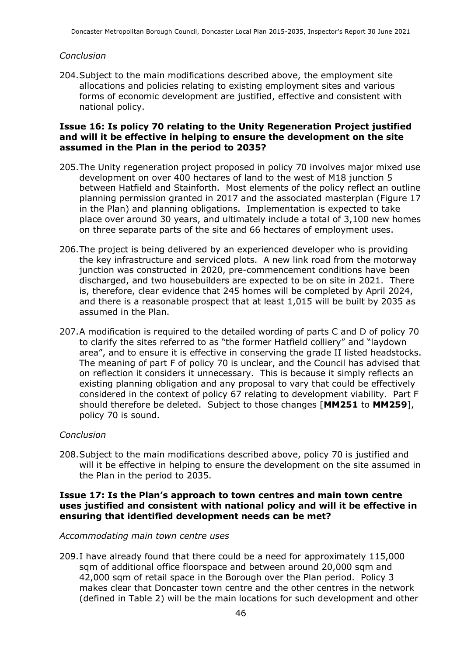#### *Conclusion*

204.Subject to the main modifications described above, the employment site allocations and policies relating to existing employment sites and various forms of economic development are justified, effective and consistent with national policy.

#### **Issue 16: Is policy 70 relating to the Unity Regeneration Project justified and will it be effective in helping to ensure the development on the site assumed in the Plan in the period to 2035?**

- 205.The Unity regeneration project proposed in policy 70 involves major mixed use development on over 400 hectares of land to the west of M18 junction 5 between Hatfield and Stainforth. Most elements of the policy reflect an outline planning permission granted in 2017 and the associated masterplan (Figure 17 in the Plan) and planning obligations. Implementation is expected to take place over around 30 years, and ultimately include a total of 3,100 new homes on three separate parts of the site and 66 hectares of employment uses.
- 206.The project is being delivered by an experienced developer who is providing the key infrastructure and serviced plots. A new link road from the motorway junction was constructed in 2020, pre-commencement conditions have been discharged, and two housebuilders are expected to be on site in 2021. There is, therefore, clear evidence that 245 homes will be completed by April 2024, and there is a reasonable prospect that at least 1,015 will be built by 2035 as assumed in the Plan.
- 207.A modification is required to the detailed wording of parts C and D of policy 70 to clarify the sites referred to as "the former Hatfield colliery" and "laydown area", and to ensure it is effective in conserving the grade II listed headstocks. The meaning of part F of policy 70 is unclear, and the Council has advised that on reflection it considers it unnecessary. This is because it simply reflects an existing planning obligation and any proposal to vary that could be effectively considered in the context of policy 67 relating to development viability. Part F should therefore be deleted. Subject to those changes [**MM251** to **MM259**], policy 70 is sound.

#### *Conclusion*

208.Subject to the main modifications described above, policy 70 is justified and will it be effective in helping to ensure the development on the site assumed in the Plan in the period to 2035.

#### **Issue 17: Is the Plan's approach to town centres and main town centre uses justified and consistent with national policy and will it be effective in ensuring that identified development needs can be met?**

#### *Accommodating main town centre uses*

209.I have already found that there could be a need for approximately 115,000 sqm of additional office floorspace and between around 20,000 sqm and 42,000 sqm of retail space in the Borough over the Plan period. Policy 3 makes clear that Doncaster town centre and the other centres in the network (defined in Table 2) will be the main locations for such development and other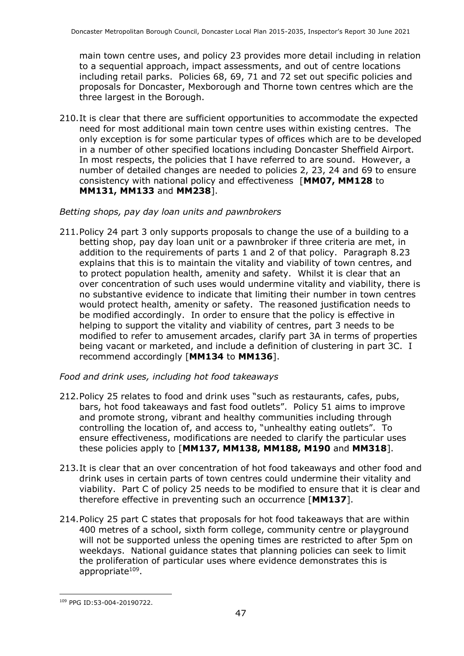main town centre uses, and policy 23 provides more detail including in relation to a sequential approach, impact assessments, and out of centre locations including retail parks. Policies 68, 69, 71 and 72 set out specific policies and proposals for Doncaster, Mexborough and Thorne town centres which are the three largest in the Borough.

210.It is clear that there are sufficient opportunities to accommodate the expected need for most additional main town centre uses within existing centres. The only exception is for some particular types of offices which are to be developed in a number of other specified locations including Doncaster Sheffield Airport. In most respects, the policies that I have referred to are sound. However, a number of detailed changes are needed to policies 2, 23, 24 and 69 to ensure consistency with national policy and effectiveness [**MM07, MM128** to **MM131, MM133** and **MM238**].

#### *Betting shops, pay day loan units and pawnbrokers*

211.Policy 24 part 3 only supports proposals to change the use of a building to a betting shop, pay day loan unit or a pawnbroker if three criteria are met, in addition to the requirements of parts 1 and 2 of that policy. Paragraph 8.23 explains that this is to maintain the vitality and viability of town centres, and to protect population health, amenity and safety. Whilst it is clear that an over concentration of such uses would undermine vitality and viability, there is no substantive evidence to indicate that limiting their number in town centres would protect health, amenity or safety. The reasoned justification needs to be modified accordingly. In order to ensure that the policy is effective in helping to support the vitality and viability of centres, part 3 needs to be modified to refer to amusement arcades, clarify part 3A in terms of properties being vacant or marketed, and include a definition of clustering in part 3C. I recommend accordingly [**MM134** to **MM136**].

#### *Food and drink uses, including hot food takeaways*

- 212.Policy 25 relates to food and drink uses "such as restaurants, cafes, pubs, bars, hot food takeaways and fast food outlets". Policy 51 aims to improve and promote strong, vibrant and healthy communities including through controlling the location of, and access to, "unhealthy eating outlets". To ensure effectiveness, modifications are needed to clarify the particular uses these policies apply to [**MM137, MM138, MM188, M190** and **MM318**].
- 213.It is clear that an over concentration of hot food takeaways and other food and drink uses in certain parts of town centres could undermine their vitality and viability. Part C of policy 25 needs to be modified to ensure that it is clear and therefore effective in preventing such an occurrence [**MM137**].
- 214.Policy 25 part C states that proposals for hot food takeaways that are within 400 metres of a school, sixth form college, community centre or playground will not be supported unless the opening times are restricted to after 5pm on weekdays. National guidance states that planning policies can seek to limit the proliferation of particular uses where evidence demonstrates this is appropriate<sup>109</sup>.

<sup>109</sup> PPG ID:53-004-20190722.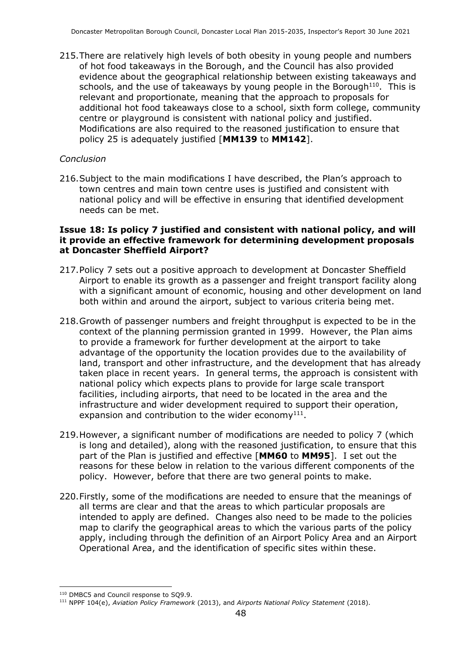215.There are relatively high levels of both obesity in young people and numbers of hot food takeaways in the Borough, and the Council has also provided evidence about the geographical relationship between existing takeaways and schools, and the use of takeaways by young people in the Borough $110$ . This is relevant and proportionate, meaning that the approach to proposals for additional hot food takeaways close to a school, sixth form college, community centre or playground is consistent with national policy and justified. Modifications are also required to the reasoned justification to ensure that policy 25 is adequately justified [**MM139** to **MM142**].

#### *Conclusion*

216.Subject to the main modifications I have described, the Plan's approach to town centres and main town centre uses is justified and consistent with national policy and will be effective in ensuring that identified development needs can be met.

#### **Issue 18: Is policy 7 justified and consistent with national policy, and will it provide an effective framework for determining development proposals at Doncaster Sheffield Airport?**

- 217.Policy 7 sets out a positive approach to development at Doncaster Sheffield Airport to enable its growth as a passenger and freight transport facility along with a significant amount of economic, housing and other development on land both within and around the airport, subject to various criteria being met.
- 218.Growth of passenger numbers and freight throughput is expected to be in the context of the planning permission granted in 1999. However, the Plan aims to provide a framework for further development at the airport to take advantage of the opportunity the location provides due to the availability of land, transport and other infrastructure, and the development that has already taken place in recent years. In general terms, the approach is consistent with national policy which expects plans to provide for large scale transport facilities, including airports, that need to be located in the area and the infrastructure and wider development required to support their operation, expansion and contribution to the wider economy $^{111}$ .
- 219.However, a significant number of modifications are needed to policy 7 (which is long and detailed), along with the reasoned justification, to ensure that this part of the Plan is justified and effective [**MM60** to **MM95**]. I set out the reasons for these below in relation to the various different components of the policy. However, before that there are two general points to make.
- 220.Firstly, some of the modifications are needed to ensure that the meanings of all terms are clear and that the areas to which particular proposals are intended to apply are defined. Changes also need to be made to the policies map to clarify the geographical areas to which the various parts of the policy apply, including through the definition of an Airport Policy Area and an Airport Operational Area, and the identification of specific sites within these.

<sup>110</sup> DMBC5 and Council response to SQ9.9.

<sup>111</sup> NPPF 104(e), *Aviation Policy Framework* (2013), and *Airports National Policy Statement* (2018).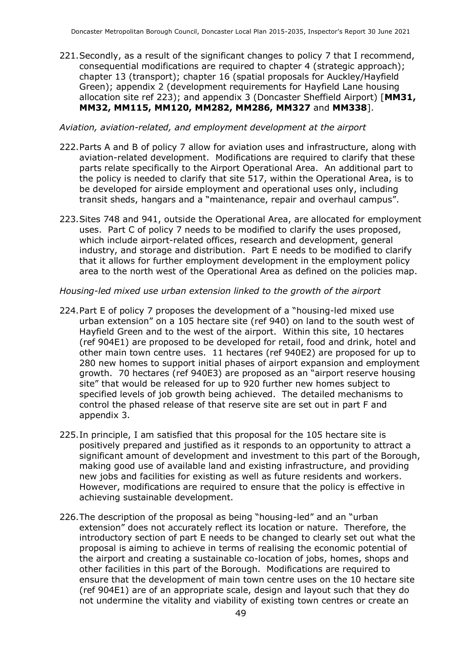221.Secondly, as a result of the significant changes to policy 7 that I recommend, consequential modifications are required to chapter 4 (strategic approach); chapter 13 (transport); chapter 16 (spatial proposals for Auckley/Hayfield Green); appendix 2 (development requirements for Hayfield Lane housing allocation site ref 223); and appendix 3 (Doncaster Sheffield Airport) [**MM31, MM32, MM115, MM120, MM282, MM286, MM327** and **MM338**].

#### *Aviation, aviation-related, and employment development at the airport*

- 222.Parts A and B of policy 7 allow for aviation uses and infrastructure, along with aviation-related development. Modifications are required to clarify that these parts relate specifically to the Airport Operational Area. An additional part to the policy is needed to clarify that site 517, within the Operational Area, is to be developed for airside employment and operational uses only, including transit sheds, hangars and a "maintenance, repair and overhaul campus".
- 223.Sites 748 and 941, outside the Operational Area, are allocated for employment uses. Part C of policy 7 needs to be modified to clarify the uses proposed, which include airport-related offices, research and development, general industry, and storage and distribution. Part E needs to be modified to clarify that it allows for further employment development in the employment policy area to the north west of the Operational Area as defined on the policies map.

#### *Housing-led mixed use urban extension linked to the growth of the airport*

- 224.Part E of policy 7 proposes the development of a "housing-led mixed use urban extension" on a 105 hectare site (ref 940) on land to the south west of Hayfield Green and to the west of the airport. Within this site, 10 hectares (ref 904E1) are proposed to be developed for retail, food and drink, hotel and other main town centre uses. 11 hectares (ref 940E2) are proposed for up to 280 new homes to support initial phases of airport expansion and employment growth. 70 hectares (ref 940E3) are proposed as an "airport reserve housing site" that would be released for up to 920 further new homes subject to specified levels of job growth being achieved. The detailed mechanisms to control the phased release of that reserve site are set out in part F and appendix 3.
- 225.In principle, I am satisfied that this proposal for the 105 hectare site is positively prepared and justified as it responds to an opportunity to attract a significant amount of development and investment to this part of the Borough, making good use of available land and existing infrastructure, and providing new jobs and facilities for existing as well as future residents and workers. However, modifications are required to ensure that the policy is effective in achieving sustainable development.
- 226.The description of the proposal as being "housing-led" and an "urban extension" does not accurately reflect its location or nature. Therefore, the introductory section of part E needs to be changed to clearly set out what the proposal is aiming to achieve in terms of realising the economic potential of the airport and creating a sustainable co-location of jobs, homes, shops and other facilities in this part of the Borough. Modifications are required to ensure that the development of main town centre uses on the 10 hectare site (ref 904E1) are of an appropriate scale, design and layout such that they do not undermine the vitality and viability of existing town centres or create an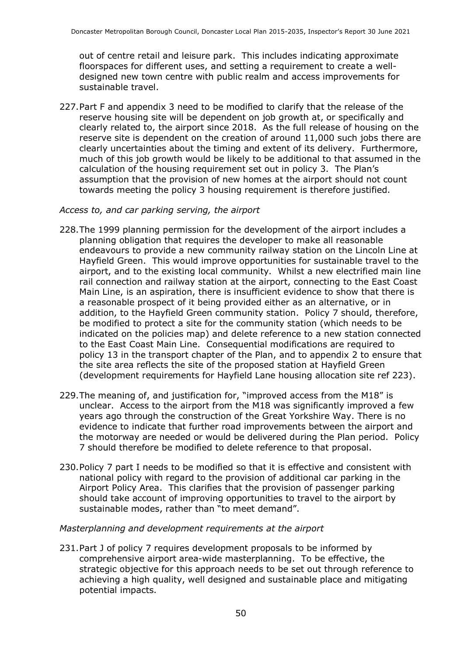out of centre retail and leisure park. This includes indicating approximate floorspaces for different uses, and setting a requirement to create a welldesigned new town centre with public realm and access improvements for sustainable travel.

227.Part F and appendix 3 need to be modified to clarify that the release of the reserve housing site will be dependent on job growth at, or specifically and clearly related to, the airport since 2018. As the full release of housing on the reserve site is dependent on the creation of around 11,000 such jobs there are clearly uncertainties about the timing and extent of its delivery. Furthermore, much of this job growth would be likely to be additional to that assumed in the calculation of the housing requirement set out in policy 3. The Plan's assumption that the provision of new homes at the airport should not count towards meeting the policy 3 housing requirement is therefore justified.

#### *Access to, and car parking serving, the airport*

- 228.The 1999 planning permission for the development of the airport includes a planning obligation that requires the developer to make all reasonable endeavours to provide a new community railway station on the Lincoln Line at Hayfield Green. This would improve opportunities for sustainable travel to the airport, and to the existing local community. Whilst a new electrified main line rail connection and railway station at the airport, connecting to the East Coast Main Line, is an aspiration, there is insufficient evidence to show that there is a reasonable prospect of it being provided either as an alternative, or in addition, to the Hayfield Green community station. Policy 7 should, therefore, be modified to protect a site for the community station (which needs to be indicated on the policies map) and delete reference to a new station connected to the East Coast Main Line. Consequential modifications are required to policy 13 in the transport chapter of the Plan, and to appendix 2 to ensure that the site area reflects the site of the proposed station at Hayfield Green (development requirements for Hayfield Lane housing allocation site ref 223).
- 229.The meaning of, and justification for, "improved access from the M18" is unclear. Access to the airport from the M18 was significantly improved a few years ago through the construction of the Great Yorkshire Way. There is no evidence to indicate that further road improvements between the airport and the motorway are needed or would be delivered during the Plan period. Policy 7 should therefore be modified to delete reference to that proposal.
- 230.Policy 7 part I needs to be modified so that it is effective and consistent with national policy with regard to the provision of additional car parking in the Airport Policy Area. This clarifies that the provision of passenger parking should take account of improving opportunities to travel to the airport by sustainable modes, rather than "to meet demand".

#### *Masterplanning and development requirements at the airport*

231.Part J of policy 7 requires development proposals to be informed by comprehensive airport area-wide masterplanning. To be effective, the strategic objective for this approach needs to be set out through reference to achieving a high quality, well designed and sustainable place and mitigating potential impacts.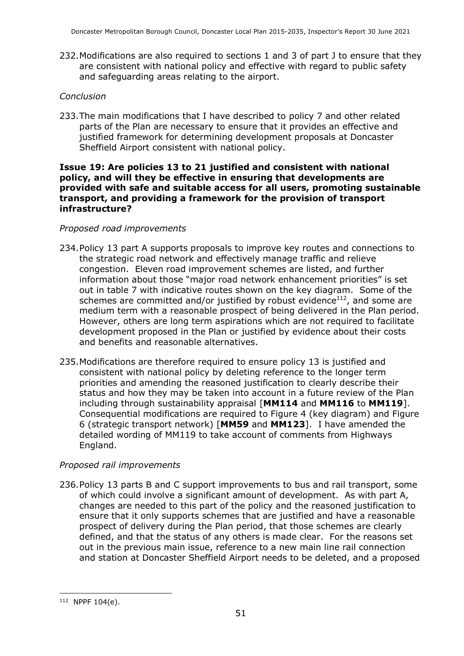232.Modifications are also required to sections 1 and 3 of part J to ensure that they are consistent with national policy and effective with regard to public safety and safeguarding areas relating to the airport.

#### *Conclusion*

233.The main modifications that I have described to policy 7 and other related parts of the Plan are necessary to ensure that it provides an effective and justified framework for determining development proposals at Doncaster Sheffield Airport consistent with national policy.

#### **Issue 19: Are policies 13 to 21 justified and consistent with national policy, and will they be effective in ensuring that developments are provided with safe and suitable access for all users, promoting sustainable transport, and providing a framework for the provision of transport infrastructure?**

#### *Proposed road improvements*

- 234.Policy 13 part A supports proposals to improve key routes and connections to the strategic road network and effectively manage traffic and relieve congestion. Eleven road improvement schemes are listed, and further information about those "major road network enhancement priorities" is set out in table 7 with indicative routes shown on the key diagram. Some of the schemes are committed and/or justified by robust evidence $112$ , and some are medium term with a reasonable prospect of being delivered in the Plan period. However, others are long term aspirations which are not required to facilitate development proposed in the Plan or justified by evidence about their costs and benefits and reasonable alternatives.
- 235.Modifications are therefore required to ensure policy 13 is justified and consistent with national policy by deleting reference to the longer term priorities and amending the reasoned justification to clearly describe their status and how they may be taken into account in a future review of the Plan including through sustainability appraisal [**MM114** and **MM116** to **MM119**]. Consequential modifications are required to Figure 4 (key diagram) and Figure 6 (strategic transport network) [**MM59** and **MM123**]. I have amended the detailed wording of MM119 to take account of comments from Highways England.

#### *Proposed rail improvements*

236.Policy 13 parts B and C support improvements to bus and rail transport, some of which could involve a significant amount of development. As with part A, changes are needed to this part of the policy and the reasoned justification to ensure that it only supports schemes that are justified and have a reasonable prospect of delivery during the Plan period, that those schemes are clearly defined, and that the status of any others is made clear. For the reasons set out in the previous main issue, reference to a new main line rail connection and station at Doncaster Sheffield Airport needs to be deleted, and a proposed

<sup>112</sup> NPPF 104(e).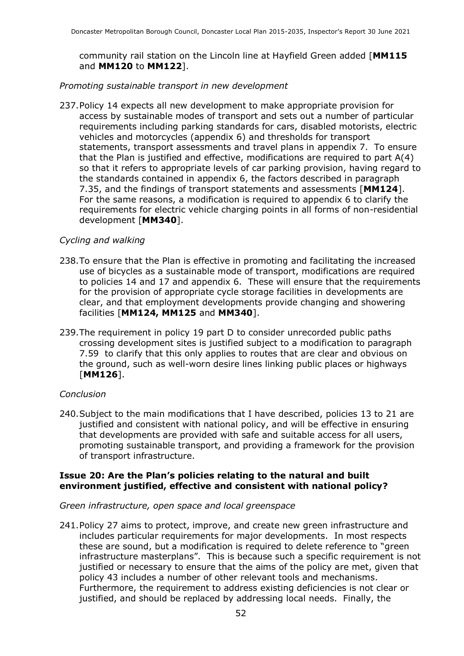community rail station on the Lincoln line at Hayfield Green added [**MM115** and **MM120** to **MM122**].

#### *Promoting sustainable transport in new development*

237.Policy 14 expects all new development to make appropriate provision for access by sustainable modes of transport and sets out a number of particular requirements including parking standards for cars, disabled motorists, electric vehicles and motorcycles (appendix 6) and thresholds for transport statements, transport assessments and travel plans in appendix 7. To ensure that the Plan is justified and effective, modifications are required to part A(4) so that it refers to appropriate levels of car parking provision, having regard to the standards contained in appendix 6, the factors described in paragraph 7.35, and the findings of transport statements and assessments [**MM124**]. For the same reasons, a modification is required to appendix 6 to clarify the requirements for electric vehicle charging points in all forms of non-residential development [**MM340**].

#### *Cycling and walking*

- 238.To ensure that the Plan is effective in promoting and facilitating the increased use of bicycles as a sustainable mode of transport, modifications are required to policies 14 and 17 and appendix 6. These will ensure that the requirements for the provision of appropriate cycle storage facilities in developments are clear, and that employment developments provide changing and showering facilities [**MM124, MM125** and **MM340**].
- 239.The requirement in policy 19 part D to consider unrecorded public paths crossing development sites is justified subject to a modification to paragraph 7.59 to clarify that this only applies to routes that are clear and obvious on the ground, such as well-worn desire lines linking public places or highways [**MM126**].

#### *Conclusion*

240.Subject to the main modifications that I have described, policies 13 to 21 are justified and consistent with national policy, and will be effective in ensuring that developments are provided with safe and suitable access for all users, promoting sustainable transport, and providing a framework for the provision of transport infrastructure.

#### **Issue 20: Are the Plan's policies relating to the natural and built environment justified, effective and consistent with national policy?**

#### *Green infrastructure, open space and local greenspace*

241.Policy 27 aims to protect, improve, and create new green infrastructure and includes particular requirements for major developments. In most respects these are sound, but a modification is required to delete reference to "green infrastructure masterplans". This is because such a specific requirement is not justified or necessary to ensure that the aims of the policy are met, given that policy 43 includes a number of other relevant tools and mechanisms. Furthermore, the requirement to address existing deficiencies is not clear or justified, and should be replaced by addressing local needs. Finally, the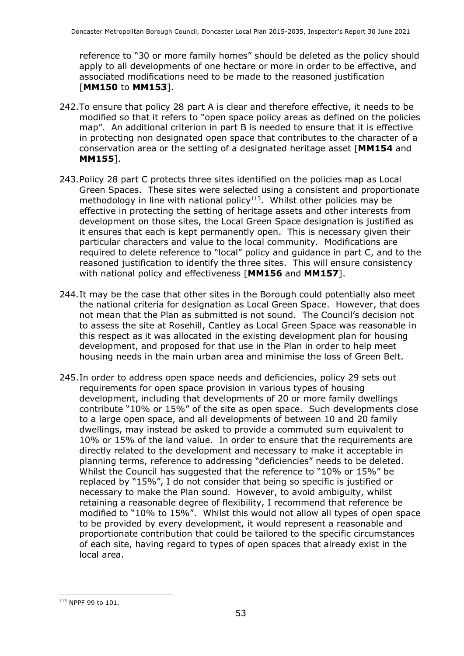reference to "30 or more family homes" should be deleted as the policy should apply to all developments of one hectare or more in order to be effective, and associated modifications need to be made to the reasoned justification [**MM150** to **MM153**].

- 242.To ensure that policy 28 part A is clear and therefore effective, it needs to be modified so that it refers to "open space policy areas as defined on the policies map". An additional criterion in part B is needed to ensure that it is effective in protecting non designated open space that contributes to the character of a conservation area or the setting of a designated heritage asset [**MM154** and **MM155**].
- 243.Policy 28 part C protects three sites identified on the policies map as Local Green Spaces. These sites were selected using a consistent and proportionate methodology in line with national policy $113$ . Whilst other policies may be effective in protecting the setting of heritage assets and other interests from development on those sites, the Local Green Space designation is justified as it ensures that each is kept permanently open. This is necessary given their particular characters and value to the local community. Modifications are required to delete reference to "local" policy and guidance in part C, and to the reasoned justification to identify the three sites. This will ensure consistency with national policy and effectiveness [**MM156** and **MM157**].
- 244.It may be the case that other sites in the Borough could potentially also meet the national criteria for designation as Local Green Space. However, that does not mean that the Plan as submitted is not sound. The Council's decision not to assess the site at Rosehill, Cantley as Local Green Space was reasonable in this respect as it was allocated in the existing development plan for housing development, and proposed for that use in the Plan in order to help meet housing needs in the main urban area and minimise the loss of Green Belt.
- 245.In order to address open space needs and deficiencies, policy 29 sets out requirements for open space provision in various types of housing development, including that developments of 20 or more family dwellings contribute "10% or 15%" of the site as open space. Such developments close to a large open space, and all developments of between 10 and 20 family dwellings, may instead be asked to provide a commuted sum equivalent to 10% or 15% of the land value. In order to ensure that the requirements are directly related to the development and necessary to make it acceptable in planning terms, reference to addressing "deficiencies" needs to be deleted. Whilst the Council has suggested that the reference to "10% or 15%" be replaced by "15%", I do not consider that being so specific is justified or necessary to make the Plan sound. However, to avoid ambiguity, whilst retaining a reasonable degree of flexibility, I recommend that reference be modified to "10% to 15%". Whilst this would not allow all types of open space to be provided by every development, it would represent a reasonable and proportionate contribution that could be tailored to the specific circumstances of each site, having regard to types of open spaces that already exist in the local area.

<sup>113</sup> NPPF 99 to 101.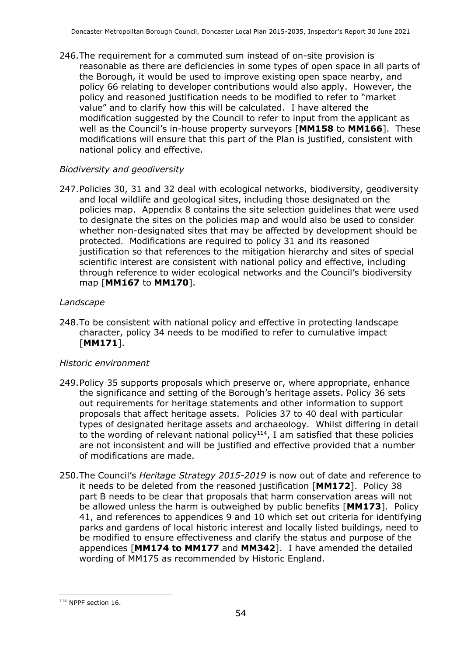246.The requirement for a commuted sum instead of on-site provision is reasonable as there are deficiencies in some types of open space in all parts of the Borough, it would be used to improve existing open space nearby, and policy 66 relating to developer contributions would also apply. However, the policy and reasoned justification needs to be modified to refer to "market value" and to clarify how this will be calculated. I have altered the modification suggested by the Council to refer to input from the applicant as well as the Council's in-house property surveyors [**MM158** to **MM166**]. These modifications will ensure that this part of the Plan is justified, consistent with national policy and effective.

#### *Biodiversity and geodiversity*

247.Policies 30, 31 and 32 deal with ecological networks, biodiversity, geodiversity and local wildlife and geological sites, including those designated on the policies map. Appendix 8 contains the site selection guidelines that were used to designate the sites on the policies map and would also be used to consider whether non-designated sites that may be affected by development should be protected. Modifications are required to policy 31 and its reasoned justification so that references to the mitigation hierarchy and sites of special scientific interest are consistent with national policy and effective, including through reference to wider ecological networks and the Council's biodiversity map [**MM167** to **MM170**].

#### *Landscape*

248.To be consistent with national policy and effective in protecting landscape character, policy 34 needs to be modified to refer to cumulative impact [**MM171**].

#### *Historic environment*

- 249.Policy 35 supports proposals which preserve or, where appropriate, enhance the significance and setting of the Borough's heritage assets. Policy 36 sets out requirements for heritage statements and other information to support proposals that affect heritage assets. Policies 37 to 40 deal with particular types of designated heritage assets and archaeology. Whilst differing in detail to the wording of relevant national policy<sup>114</sup>, I am satisfied that these policies are not inconsistent and will be justified and effective provided that a number of modifications are made.
- 250.The Council's *Heritage Strategy 2015-2019* is now out of date and reference to it needs to be deleted from the reasoned justification [**MM172**]. Policy 38 part B needs to be clear that proposals that harm conservation areas will not be allowed unless the harm is outweighed by public benefits [**MM173**]. Policy 41, and references to appendices 9 and 10 which set out criteria for identifying parks and gardens of local historic interest and locally listed buildings, need to be modified to ensure effectiveness and clarify the status and purpose of the appendices [**MM174 to MM177** and **MM342**]. I have amended the detailed wording of MM175 as recommended by Historic England.

<sup>114</sup> NPPF section 16.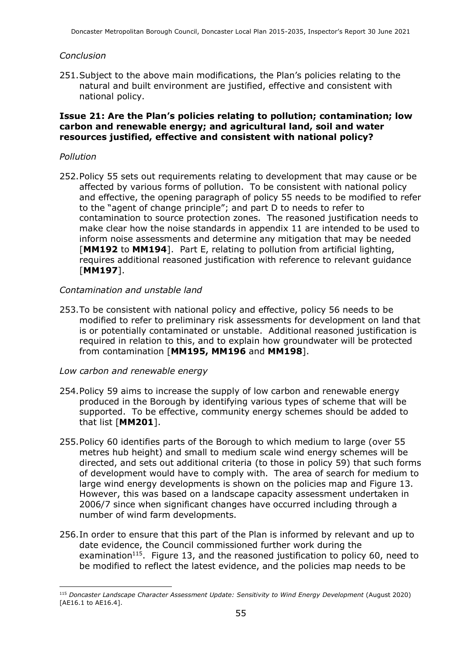#### *Conclusion*

251.Subject to the above main modifications, the Plan's policies relating to the natural and built environment are justified, effective and consistent with national policy.

#### **Issue 21: Are the Plan's policies relating to pollution; contamination; low carbon and renewable energy; and agricultural land, soil and water resources justified, effective and consistent with national policy?**

#### *Pollution*

252.Policy 55 sets out requirements relating to development that may cause or be affected by various forms of pollution. To be consistent with national policy and effective, the opening paragraph of policy 55 needs to be modified to refer to the "agent of change principle"; and part D to needs to refer to contamination to source protection zones. The reasoned justification needs to make clear how the noise standards in appendix 11 are intended to be used to inform noise assessments and determine any mitigation that may be needed [**MM192** to **MM194**]. Part E, relating to pollution from artificial lighting, requires additional reasoned justification with reference to relevant guidance [**MM197**].

#### *Contamination and unstable land*

253.To be consistent with national policy and effective, policy 56 needs to be modified to refer to preliminary risk assessments for development on land that is or potentially contaminated or unstable. Additional reasoned justification is required in relation to this, and to explain how groundwater will be protected from contamination [**MM195, MM196** and **MM198**].

#### *Low carbon and renewable energy*

- 254.Policy 59 aims to increase the supply of low carbon and renewable energy produced in the Borough by identifying various types of scheme that will be supported. To be effective, community energy schemes should be added to that list [**MM201**].
- 255.Policy 60 identifies parts of the Borough to which medium to large (over 55 metres hub height) and small to medium scale wind energy schemes will be directed, and sets out additional criteria (to those in policy 59) that such forms of development would have to comply with. The area of search for medium to large wind energy developments is shown on the policies map and Figure 13. However, this was based on a landscape capacity assessment undertaken in 2006/7 since when significant changes have occurred including through a number of wind farm developments.
- 256.In order to ensure that this part of the Plan is informed by relevant and up to date evidence, the Council commissioned further work during the examination<sup>115</sup>. Figure 13, and the reasoned justification to policy 60, need to be modified to reflect the latest evidence, and the policies map needs to be

<sup>115</sup> *Doncaster Landscape Character Assessment Update: Sensitivity to Wind Energy Development* (August 2020) [AE16.1 to AE16.4].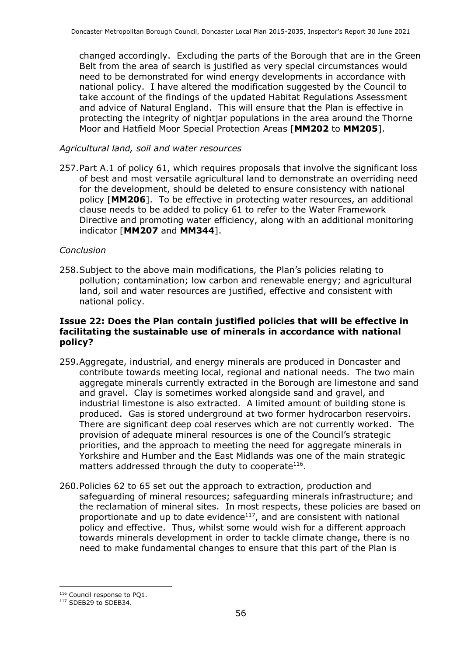changed accordingly. Excluding the parts of the Borough that are in the Green Belt from the area of search is justified as very special circumstances would need to be demonstrated for wind energy developments in accordance with national policy. I have altered the modification suggested by the Council to take account of the findings of the updated Habitat Regulations Assessment and advice of Natural England. This will ensure that the Plan is effective in protecting the integrity of nightjar populations in the area around the Thorne Moor and Hatfield Moor Special Protection Areas [**MM202** to **MM205**].

#### *Agricultural land, soil and water resources*

257.Part A.1 of policy 61, which requires proposals that involve the significant loss of best and most versatile agricultural land to demonstrate an overriding need for the development, should be deleted to ensure consistency with national policy [**MM206**]. To be effective in protecting water resources, an additional clause needs to be added to policy 61 to refer to the Water Framework Directive and promoting water efficiency, along with an additional monitoring indicator [**MM207** and **MM344**].

#### *Conclusion*

258.Subject to the above main modifications, the Plan's policies relating to pollution; contamination; low carbon and renewable energy; and agricultural land, soil and water resources are justified, effective and consistent with national policy.

#### **Issue 22: Does the Plan contain justified policies that will be effective in facilitating the sustainable use of minerals in accordance with national policy?**

- 259.Aggregate, industrial, and energy minerals are produced in Doncaster and contribute towards meeting local, regional and national needs. The two main aggregate minerals currently extracted in the Borough are limestone and sand and gravel. Clay is sometimes worked alongside sand and gravel, and industrial limestone is also extracted. A limited amount of building stone is produced. Gas is stored underground at two former hydrocarbon reservoirs. There are significant deep coal reserves which are not currently worked. The provision of adequate mineral resources is one of the Council's strategic priorities, and the approach to meeting the need for aggregate minerals in Yorkshire and Humber and the East Midlands was one of the main strategic matters addressed through the duty to cooperate $^{116}$ .
- 260.Policies 62 to 65 set out the approach to extraction, production and safeguarding of mineral resources; safeguarding minerals infrastructure; and the reclamation of mineral sites. In most respects, these policies are based on proportionate and up to date evidence $117$ , and are consistent with national policy and effective. Thus, whilst some would wish for a different approach towards minerals development in order to tackle climate change, there is no need to make fundamental changes to ensure that this part of the Plan is

<sup>116</sup> Council response to PQ1.

<sup>117</sup> SDEB29 to SDEB34.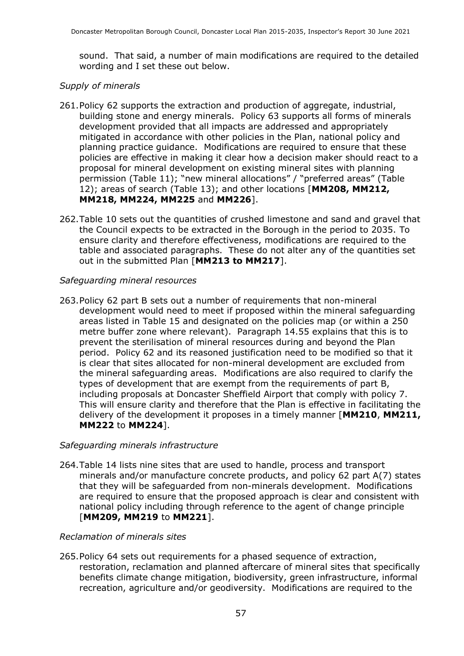sound. That said, a number of main modifications are required to the detailed wording and I set these out below.

#### *Supply of minerals*

- 261.Policy 62 supports the extraction and production of aggregate, industrial, building stone and energy minerals. Policy 63 supports all forms of minerals development provided that all impacts are addressed and appropriately mitigated in accordance with other policies in the Plan, national policy and planning practice guidance. Modifications are required to ensure that these policies are effective in making it clear how a decision maker should react to a proposal for mineral development on existing mineral sites with planning permission (Table 11); "new mineral allocations" / "preferred areas" (Table 12); areas of search (Table 13); and other locations [**MM208, MM212, MM218, MM224, MM225** and **MM226**].
- 262.Table 10 sets out the quantities of crushed limestone and sand and gravel that the Council expects to be extracted in the Borough in the period to 2035. To ensure clarity and therefore effectiveness, modifications are required to the table and associated paragraphs. These do not alter any of the quantities set out in the submitted Plan [**MM213 to MM217**].

#### *Safeguarding mineral resources*

263.Policy 62 part B sets out a number of requirements that non-mineral development would need to meet if proposed within the mineral safeguarding areas listed in Table 15 and designated on the policies map (or within a 250 metre buffer zone where relevant). Paragraph 14.55 explains that this is to prevent the sterilisation of mineral resources during and beyond the Plan period. Policy 62 and its reasoned justification need to be modified so that it is clear that sites allocated for non-mineral development are excluded from the mineral safeguarding areas. Modifications are also required to clarify the types of development that are exempt from the requirements of part B, including proposals at Doncaster Sheffield Airport that comply with policy 7. This will ensure clarity and therefore that the Plan is effective in facilitating the delivery of the development it proposes in a timely manner [**MM210**, **MM211, MM222** to **MM224**].

#### *Safeguarding minerals infrastructure*

264.Table 14 lists nine sites that are used to handle, process and transport minerals and/or manufacture concrete products, and policy 62 part A(7) states that they will be safeguarded from non-minerals development. Modifications are required to ensure that the proposed approach is clear and consistent with national policy including through reference to the agent of change principle [**MM209, MM219** to **MM221**].

#### *Reclamation of minerals sites*

265.Policy 64 sets out requirements for a phased sequence of extraction, restoration, reclamation and planned aftercare of mineral sites that specifically benefits climate change mitigation, biodiversity, green infrastructure, informal recreation, agriculture and/or geodiversity. Modifications are required to the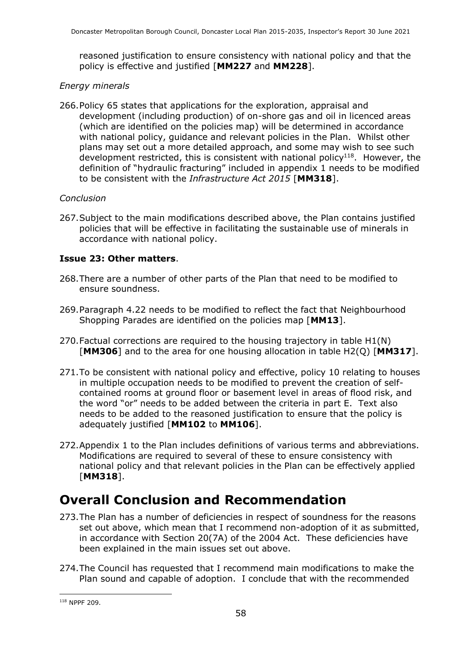reasoned justification to ensure consistency with national policy and that the policy is effective and justified [**MM227** and **MM228**].

#### *Energy minerals*

266.Policy 65 states that applications for the exploration, appraisal and development (including production) of on-shore gas and oil in licenced areas (which are identified on the policies map) will be determined in accordance with national policy, guidance and relevant policies in the Plan. Whilst other plans may set out a more detailed approach, and some may wish to see such development restricted, this is consistent with national policy<sup>118</sup>. However, the definition of "hydraulic fracturing" included in appendix 1 needs to be modified to be consistent with the *Infrastructure Act 2015* [**MM318**].

#### *Conclusion*

267.Subject to the main modifications described above, the Plan contains justified policies that will be effective in facilitating the sustainable use of minerals in accordance with national policy.

#### **Issue 23: Other matters**.

- 268.There are a number of other parts of the Plan that need to be modified to ensure soundness.
- 269.Paragraph 4.22 needs to be modified to reflect the fact that Neighbourhood Shopping Parades are identified on the policies map [**MM13**].
- 270.Factual corrections are required to the housing trajectory in table H1(N) [**MM306**] and to the area for one housing allocation in table H2(Q) [**MM317**].
- 271.To be consistent with national policy and effective, policy 10 relating to houses in multiple occupation needs to be modified to prevent the creation of selfcontained rooms at ground floor or basement level in areas of flood risk, and the word "or" needs to be added between the criteria in part E. Text also needs to be added to the reasoned justification to ensure that the policy is adequately justified [**MM102** to **MM106**].
- 272.Appendix 1 to the Plan includes definitions of various terms and abbreviations. Modifications are required to several of these to ensure consistency with national policy and that relevant policies in the Plan can be effectively applied [**MM318**].

### **Overall Conclusion and Recommendation**

- 273.The Plan has a number of deficiencies in respect of soundness for the reasons set out above, which mean that I recommend non-adoption of it as submitted, in accordance with Section 20(7A) of the 2004 Act. These deficiencies have been explained in the main issues set out above.
- 274.The Council has requested that I recommend main modifications to make the Plan sound and capable of adoption. I conclude that with the recommended

<sup>118</sup> NPPF 209.